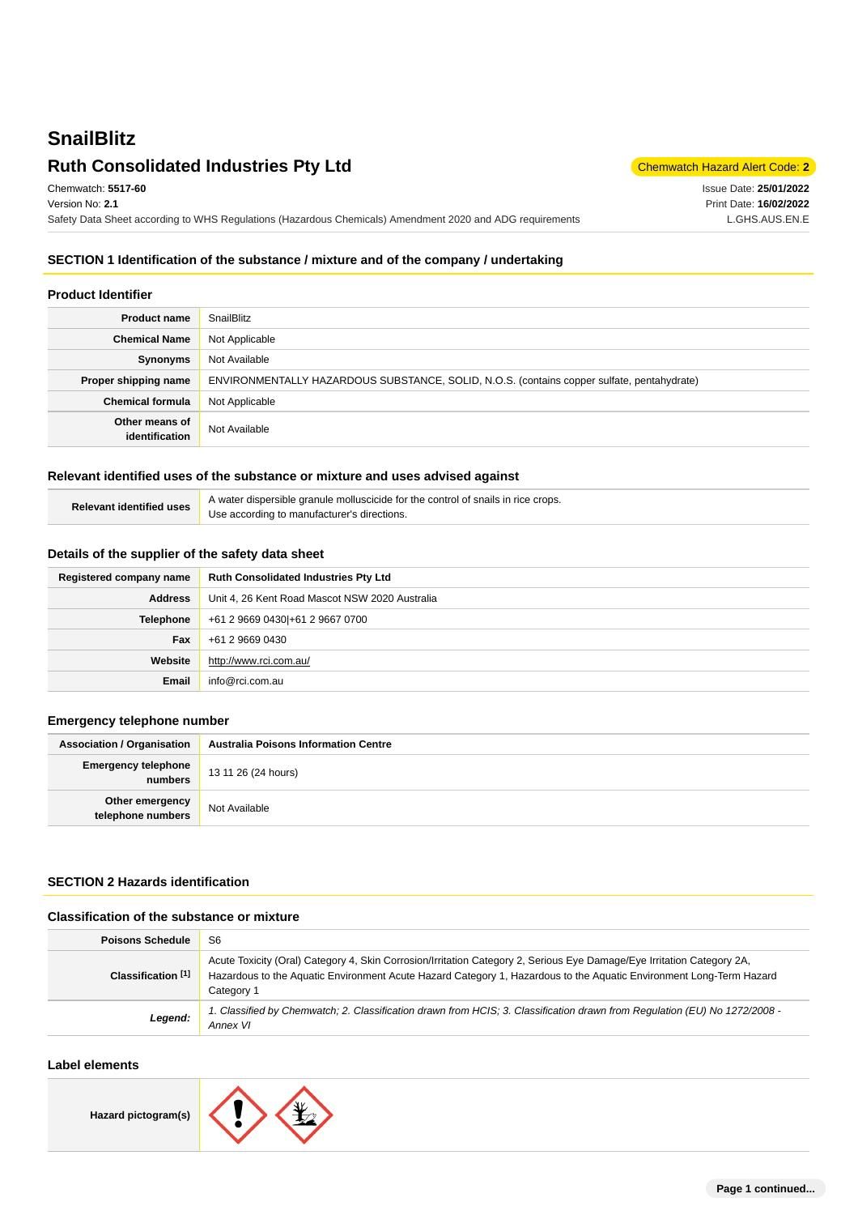# **SnailBlitz Ruth Consolidated Industries Pty Ltd** Chemmatch Hazard Alert Code: 2

Issue Date: **25/01/2022** Print Date: **16/02/2022** L.GHS.AUS.EN.E

Chemwatch: **5517-60** Version No: **2.1** Safety Data Sheet according to WHS Regulations (Hazardous Chemicals) Amendment 2020 and ADG requirements

#### **SECTION 1 Identification of the substance / mixture and of the company / undertaking**

#### **Product Identifier**

| <b>Product name</b>              | SnailBlitz                                                                                 |  |
|----------------------------------|--------------------------------------------------------------------------------------------|--|
| <b>Chemical Name</b>             | Not Applicable                                                                             |  |
| Synonyms                         | Not Available                                                                              |  |
| Proper shipping name             | ENVIRONMENTALLY HAZARDOUS SUBSTANCE, SOLID, N.O.S. (contains copper sulfate, pentahydrate) |  |
| <b>Chemical formula</b>          | Not Applicable                                                                             |  |
| Other means of<br>identification | Not Available                                                                              |  |

### **Relevant identified uses of the substance or mixture and uses advised against**

| Relevant identified uses | A water dispersible granule molluscicide for the control of snails in rice crops. |
|--------------------------|-----------------------------------------------------------------------------------|
|                          | Use according to manufacturer's directions.                                       |

#### **Details of the supplier of the safety data sheet**

| Registered company name | <b>Ruth Consolidated Industries Pty Ltd</b>    |  |
|-------------------------|------------------------------------------------|--|
| <b>Address</b>          | Unit 4, 26 Kent Road Mascot NSW 2020 Australia |  |
| <b>Telephone</b>        | +61 2 9669 0430 + 61 2 9667 0700               |  |
| Fax                     | +61 2 9669 0430                                |  |
| Website                 | http://www.rci.com.au/                         |  |
| <b>Email</b>            | info@rci.com.au                                |  |

#### **Emergency telephone number**

| <b>Association / Organisation</b>     | <b>Australia Poisons Information Centre</b> |  |
|---------------------------------------|---------------------------------------------|--|
| <b>Emergency telephone</b><br>numbers | 13 11 26 (24 hours)                         |  |
| Other emergency<br>telephone numbers  | Not Available                               |  |

### **SECTION 2 Hazards identification**

#### **Classification of the substance or mixture**

| <b>Poisons Schedule</b> | S6                                                                                                                                                                                                                                                          |  |
|-------------------------|-------------------------------------------------------------------------------------------------------------------------------------------------------------------------------------------------------------------------------------------------------------|--|
| Classification [1]      | Acute Toxicity (Oral) Category 4, Skin Corrosion/Irritation Category 2, Serious Eye Damage/Eye Irritation Category 2A,<br>Hazardous to the Aquatic Environment Acute Hazard Category 1, Hazardous to the Aquatic Environment Long-Term Hazard<br>Category 1 |  |
| Legend:                 | Classified by Chemwatch; 2. Classification drawn from HCIS; 3. Classification drawn from Regulation (EU) No 1272/2008 -<br>Annex VI                                                                                                                         |  |

### **Label elements**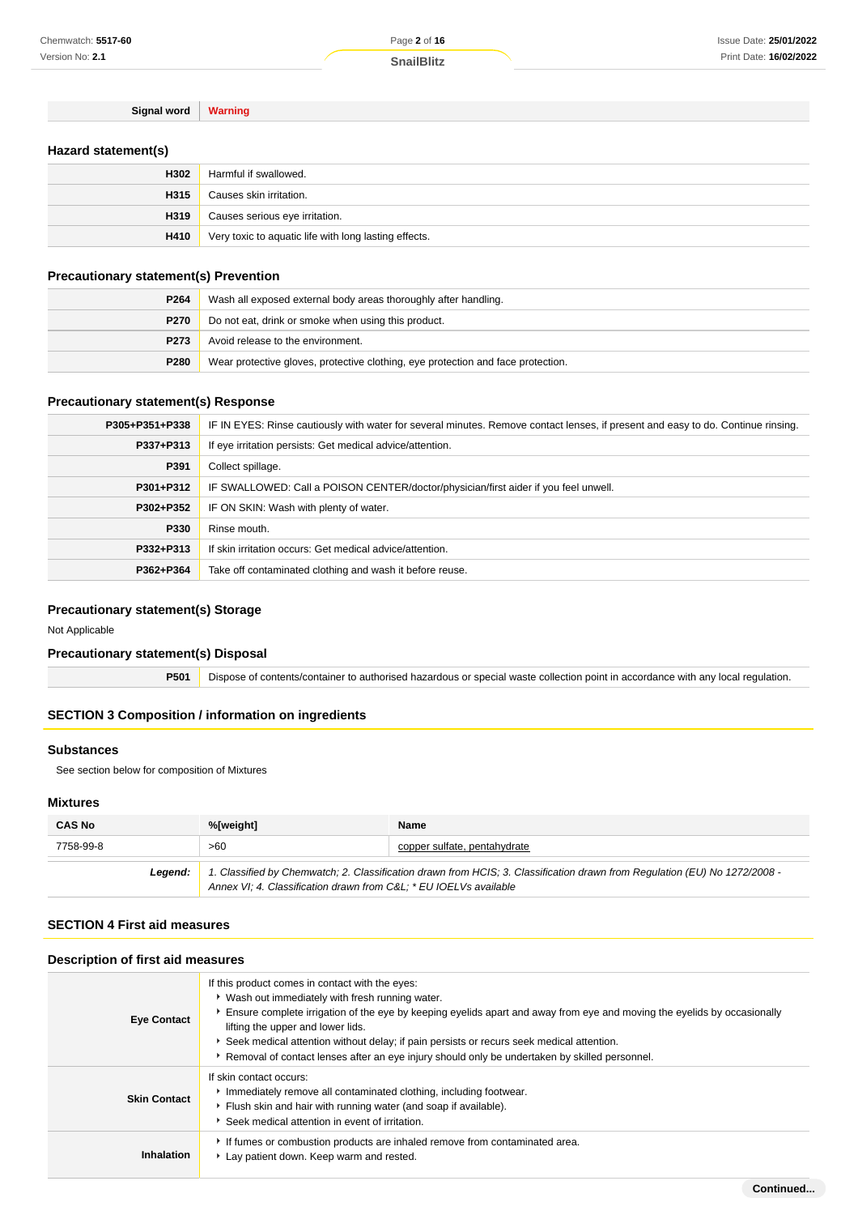Page **2** of **16**

**Signal word Warning**

### **Hazard statement(s)**

| H302 | Harmful if swallowed.                                 |  |
|------|-------------------------------------------------------|--|
| H315 | Causes skin irritation.                               |  |
| H319 | Causes serious eye irritation.                        |  |
| H410 | Very toxic to aquatic life with long lasting effects. |  |

### **Precautionary statement(s) Prevention**

| P264 | Wash all exposed external body areas thoroughly after handling.                  |  |
|------|----------------------------------------------------------------------------------|--|
| P270 | Do not eat, drink or smoke when using this product.                              |  |
| P273 | Avoid release to the environment.                                                |  |
| P280 | Wear protective gloves, protective clothing, eye protection and face protection. |  |

### **Precautionary statement(s) Response**

| P305+P351+P338 | IF IN EYES: Rinse cautiously with water for several minutes. Remove contact lenses, if present and easy to do. Continue rinsing. |  |
|----------------|----------------------------------------------------------------------------------------------------------------------------------|--|
| P337+P313      | If eye irritation persists: Get medical advice/attention.                                                                        |  |
| P391           | Collect spillage.                                                                                                                |  |
| P301+P312      | IF SWALLOWED: Call a POISON CENTER/doctor/physician/first aider if you feel unwell.                                              |  |
| P302+P352      | IF ON SKIN: Wash with plenty of water.                                                                                           |  |
| P330           | Rinse mouth.                                                                                                                     |  |
| P332+P313      | If skin irritation occurs: Get medical advice/attention.                                                                         |  |
| P362+P364      | Take off contaminated clothing and wash it before reuse.                                                                         |  |

### **Precautionary statement(s) Storage**

Not Applicable

### **Precautionary statement(s) Disposal**

**P501** Dispose of contents/container to authorised hazardous or special waste collection point in accordance with any local regulation.

#### **SECTION 3 Composition / information on ingredients**

#### **Substances**

See section below for composition of Mixtures

#### **Mixtures**

| <b>CAS No</b> | %[weight]                                                                                                                                                                                      | Name                         |
|---------------|------------------------------------------------------------------------------------------------------------------------------------------------------------------------------------------------|------------------------------|
| 7758-99-8     | >60                                                                                                                                                                                            | copper sulfate, pentahydrate |
| Leaend:       | 1. Classified by Chemwatch; 2. Classification drawn from HCIS; 3. Classification drawn from Regulation (EU) No 1272/2008 -<br>Annex VI; 4. Classification drawn from C&L * EU IOELVs available |                              |

### **SECTION 4 First aid measures**

#### **Description of first aid measures**

| <b>Eye Contact</b>  | If this product comes in contact with the eyes:<br>• Wash out immediately with fresh running water.<br>Ensure complete irrigation of the eye by keeping eyelids apart and away from eye and moving the eyelids by occasionally<br>lifting the upper and lower lids.<br>Seek medical attention without delay; if pain persists or recurs seek medical attention.<br>Removal of contact lenses after an eye injury should only be undertaken by skilled personnel. |
|---------------------|------------------------------------------------------------------------------------------------------------------------------------------------------------------------------------------------------------------------------------------------------------------------------------------------------------------------------------------------------------------------------------------------------------------------------------------------------------------|
| <b>Skin Contact</b> | If skin contact occurs:<br>Immediately remove all contaminated clothing, including footwear.<br>Flush skin and hair with running water (and soap if available).<br>Seek medical attention in event of irritation.                                                                                                                                                                                                                                                |
| Inhalation          | If fumes or combustion products are inhaled remove from contaminated area.<br>Lay patient down. Keep warm and rested.                                                                                                                                                                                                                                                                                                                                            |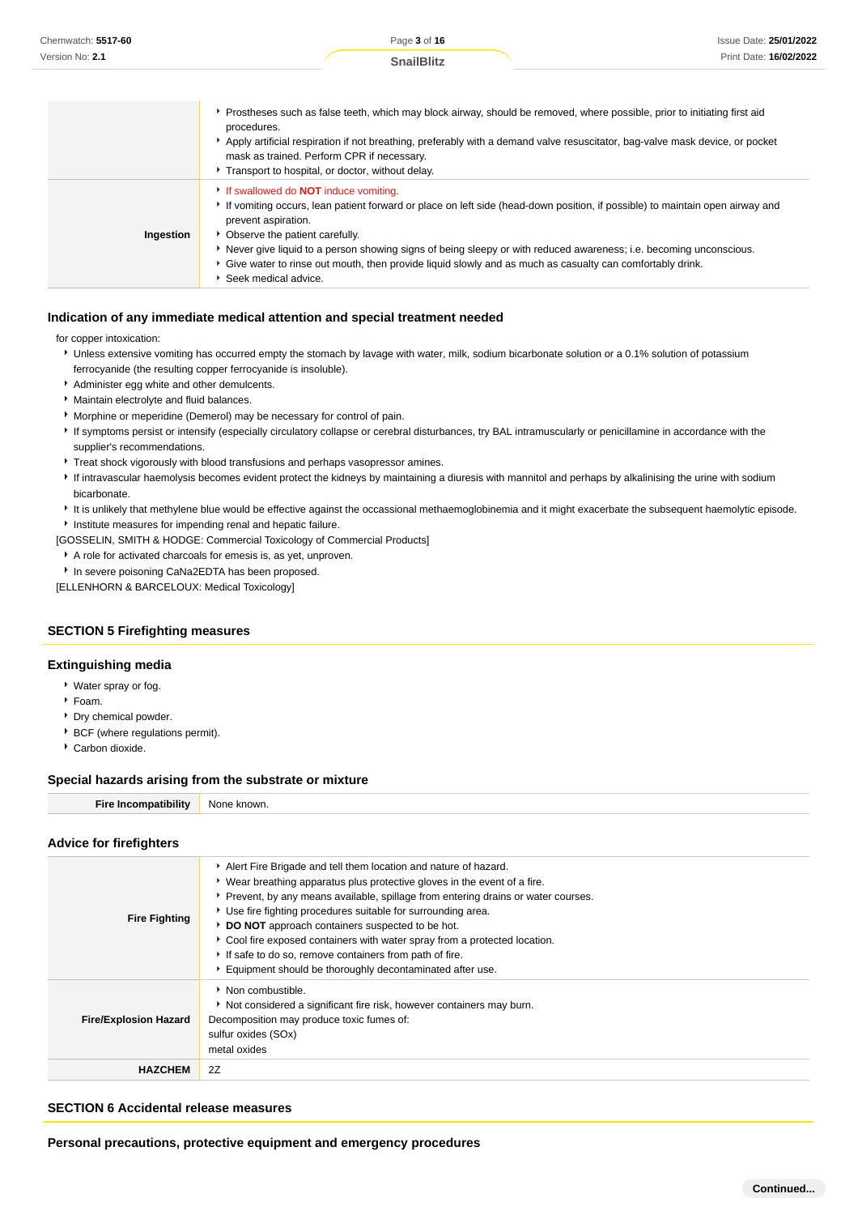| Chemwatch: 5517-60 | Page 3 of 16                                                                                                                                                                                                                                                                                                                                                                                                                                                                | <b>Issue Date: 25/01/2022</b> |
|--------------------|-----------------------------------------------------------------------------------------------------------------------------------------------------------------------------------------------------------------------------------------------------------------------------------------------------------------------------------------------------------------------------------------------------------------------------------------------------------------------------|-------------------------------|
| Version No: 2.1    | <b>SnailBlitz</b>                                                                                                                                                                                                                                                                                                                                                                                                                                                           | Print Date: 16/02/2022        |
|                    | ▶ Prostheses such as false teeth, which may block airway, should be removed, where possible, prior to initiating first aid<br>procedures.<br>Apply artificial respiration if not breathing, preferably with a demand valve resuscitator, bag-valve mask device, or pocket<br>mask as trained. Perform CPR if necessary.<br>Transport to hospital, or doctor, without delay.                                                                                                 |                               |
| Ingestion          | If swallowed do <b>NOT</b> induce vomiting.<br>If vomiting occurs, lean patient forward or place on left side (head-down position, if possible) to maintain open airway and<br>prevent aspiration.<br>• Observe the patient carefully.<br>► Never give liquid to a person showing signs of being sleepy or with reduced awareness; i.e. becoming unconscious.<br>► Give water to rinse out mouth, then provide liquid slowly and as much as casualty can comfortably drink. |                               |

Seek medical advice.

#### **Indication of any immediate medical attention and special treatment needed**

for copper intoxication:

- **I** Unless extensive vomiting has occurred empty the stomach by lavage with water, milk, sodium bicarbonate solution or a 0.1% solution of potassium ferrocyanide (the resulting copper ferrocyanide is insoluble).
- \* Administer egg white and other demulcents.
- Maintain electrolyte and fluid balances.
- Morphine or meperidine (Demerol) may be necessary for control of pain.
- If symptoms persist or intensify (especially circulatory collapse or cerebral disturbances, try BAL intramuscularly or penicillamine in accordance with the supplier's recommendations.
- Treat shock vigorously with blood transfusions and perhaps vasopressor amines.
- If intravascular haemolysis becomes evident protect the kidneys by maintaining a diuresis with mannitol and perhaps by alkalinising the urine with sodium bicarbonate.
- It is unlikely that methylene blue would be effective against the occassional methaemoglobinemia and it might exacerbate the subsequent haemolytic episode. **Institute measures for impending renal and hepatic failure.**

[GOSSELIN, SMITH & HODGE: Commercial Toxicology of Commercial Products]

- A role for activated charcoals for emesis is, as yet, unproven.
- **In severe poisoning CaNa2EDTA has been proposed.**

[ELLENHORN & BARCELOUX: Medical Toxicology]

#### **SECTION 5 Firefighting measures**

#### **Extinguishing media**

- Water spray or fog.
- Foam.
- Dry chemical powder.
- **BCF** (where regulations permit).
- Carbon dioxide.

#### **Special hazards arising from the substrate or mixture**

| <b>Fire Incompatibility</b> | None known. |
|-----------------------------|-------------|
|-----------------------------|-------------|

#### **Advice for firefighters**

| <b>Fire Fighting</b>         | Alert Fire Brigade and tell them location and nature of hazard.<br>► Wear breathing apparatus plus protective gloves in the event of a fire.<br>▶ Prevent, by any means available, spillage from entering drains or water courses.<br>• Use fire fighting procedures suitable for surrounding area.<br>DO NOT approach containers suspected to be hot.<br>• Cool fire exposed containers with water spray from a protected location.<br>If safe to do so, remove containers from path of fire.<br>Equipment should be thoroughly decontaminated after use. |
|------------------------------|------------------------------------------------------------------------------------------------------------------------------------------------------------------------------------------------------------------------------------------------------------------------------------------------------------------------------------------------------------------------------------------------------------------------------------------------------------------------------------------------------------------------------------------------------------|
| <b>Fire/Explosion Hazard</b> | • Non combustible.<br>Not considered a significant fire risk, however containers may burn.<br>Decomposition may produce toxic fumes of:<br>sulfur oxides (SOx)<br>metal oxides                                                                                                                                                                                                                                                                                                                                                                             |
| <b>HAZCHEM</b>               | 2Z                                                                                                                                                                                                                                                                                                                                                                                                                                                                                                                                                         |

### **SECTION 6 Accidental release measures**

**Personal precautions, protective equipment and emergency procedures**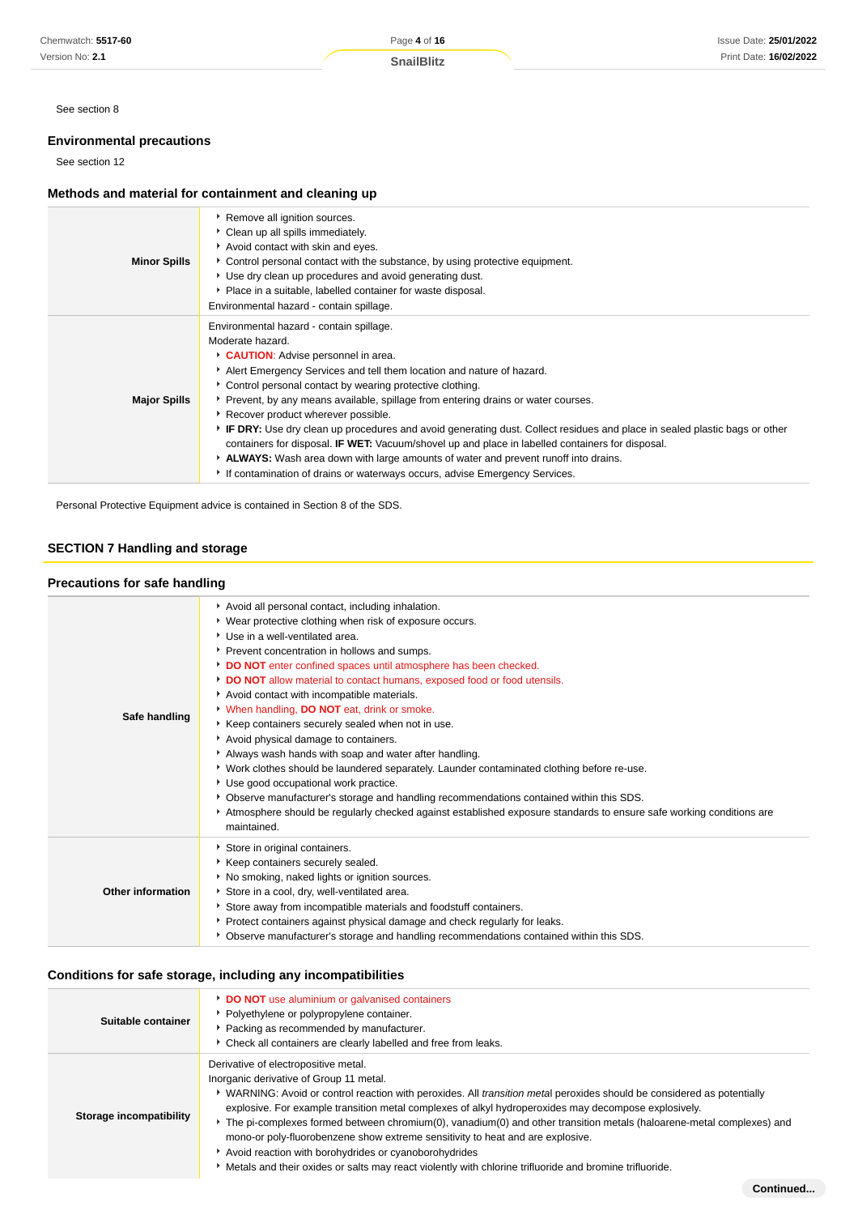See section 8

### **Environmental precautions**

See section 12

### **Methods and material for containment and cleaning up**

| <b>Minor Spills</b> | ▶ Remove all ignition sources.<br>Clean up all spills immediately.<br>Avoid contact with skin and eyes.<br>Control personal contact with the substance, by using protective equipment.<br>Use dry clean up procedures and avoid generating dust.<br>• Place in a suitable, labelled container for waste disposal.<br>Environmental hazard - contain spillage.                                                                                                                                                                                                                                                                                                                                                                                                                         |
|---------------------|---------------------------------------------------------------------------------------------------------------------------------------------------------------------------------------------------------------------------------------------------------------------------------------------------------------------------------------------------------------------------------------------------------------------------------------------------------------------------------------------------------------------------------------------------------------------------------------------------------------------------------------------------------------------------------------------------------------------------------------------------------------------------------------|
| <b>Major Spills</b> | Environmental hazard - contain spillage.<br>Moderate hazard.<br>CAUTION: Advise personnel in area.<br>Alert Emergency Services and tell them location and nature of hazard.<br>• Control personal contact by wearing protective clothing.<br>▶ Prevent, by any means available, spillage from entering drains or water courses.<br>▶ Recover product wherever possible.<br>▶ IF DRY: Use dry clean up procedures and avoid generating dust. Collect residues and place in sealed plastic bags or other<br>containers for disposal. <b>IF WET:</b> Vacuum/shovel up and place in labelled containers for disposal.<br>ALWAYS: Wash area down with large amounts of water and prevent runoff into drains.<br>If contamination of drains or waterways occurs, advise Emergency Services. |

Personal Protective Equipment advice is contained in Section 8 of the SDS.

### **SECTION 7 Handling and storage**

#### **Precautions for safe handling**

| Safe handling     | Avoid all personal contact, including inhalation.<br>• Wear protective clothing when risk of exposure occurs.<br>▶ Use in a well-ventilated area.<br>▶ Prevent concentration in hollows and sumps.<br>DO NOT enter confined spaces until atmosphere has been checked.<br>DO NOT allow material to contact humans, exposed food or food utensils.<br>Avoid contact with incompatible materials.<br>When handling, <b>DO NOT</b> eat, drink or smoke.<br>* Keep containers securely sealed when not in use.<br>Avoid physical damage to containers.<br>Always wash hands with soap and water after handling.<br>▶ Work clothes should be laundered separately. Launder contaminated clothing before re-use.<br>Use good occupational work practice.<br>▶ Observe manufacturer's storage and handling recommendations contained within this SDS.<br>Atmosphere should be regularly checked against established exposure standards to ensure safe working conditions are<br>maintained. |
|-------------------|-------------------------------------------------------------------------------------------------------------------------------------------------------------------------------------------------------------------------------------------------------------------------------------------------------------------------------------------------------------------------------------------------------------------------------------------------------------------------------------------------------------------------------------------------------------------------------------------------------------------------------------------------------------------------------------------------------------------------------------------------------------------------------------------------------------------------------------------------------------------------------------------------------------------------------------------------------------------------------------|
| Other information | Store in original containers.<br>Keep containers securely sealed.<br>No smoking, naked lights or ignition sources.<br>Store in a cool, dry, well-ventilated area.<br>Store away from incompatible materials and foodstuff containers.<br>▶ Protect containers against physical damage and check regularly for leaks.<br>▶ Observe manufacturer's storage and handling recommendations contained within this SDS.                                                                                                                                                                                                                                                                                                                                                                                                                                                                                                                                                                    |

### **Conditions for safe storage, including any incompatibilities**

| Suitable container      | DO NOT use aluminium or galvanised containers<br>• Polyethylene or polypropylene container.<br>• Packing as recommended by manufacturer.<br>Check all containers are clearly labelled and free from leaks.                                                                                                                                                                                                                                                                                                                                                                                                                                                                                              |
|-------------------------|---------------------------------------------------------------------------------------------------------------------------------------------------------------------------------------------------------------------------------------------------------------------------------------------------------------------------------------------------------------------------------------------------------------------------------------------------------------------------------------------------------------------------------------------------------------------------------------------------------------------------------------------------------------------------------------------------------|
| Storage incompatibility | Derivative of electropositive metal.<br>Inorganic derivative of Group 11 metal.<br>▶ WARNING: Avoid or control reaction with peroxides. All <i>transition metal</i> peroxides should be considered as potentially<br>explosive. For example transition metal complexes of alkyl hydroperoxides may decompose explosively.<br>The pi-complexes formed between chromium(0), vanadium(0) and other transition metals (haloarene-metal complexes) and<br>mono-or poly-fluorobenzene show extreme sensitivity to heat and are explosive.<br>Avoid reaction with borohydrides or cyanoborohydrides<br>Metals and their oxides or salts may react violently with chlorine trifluoride and bromine trifluoride. |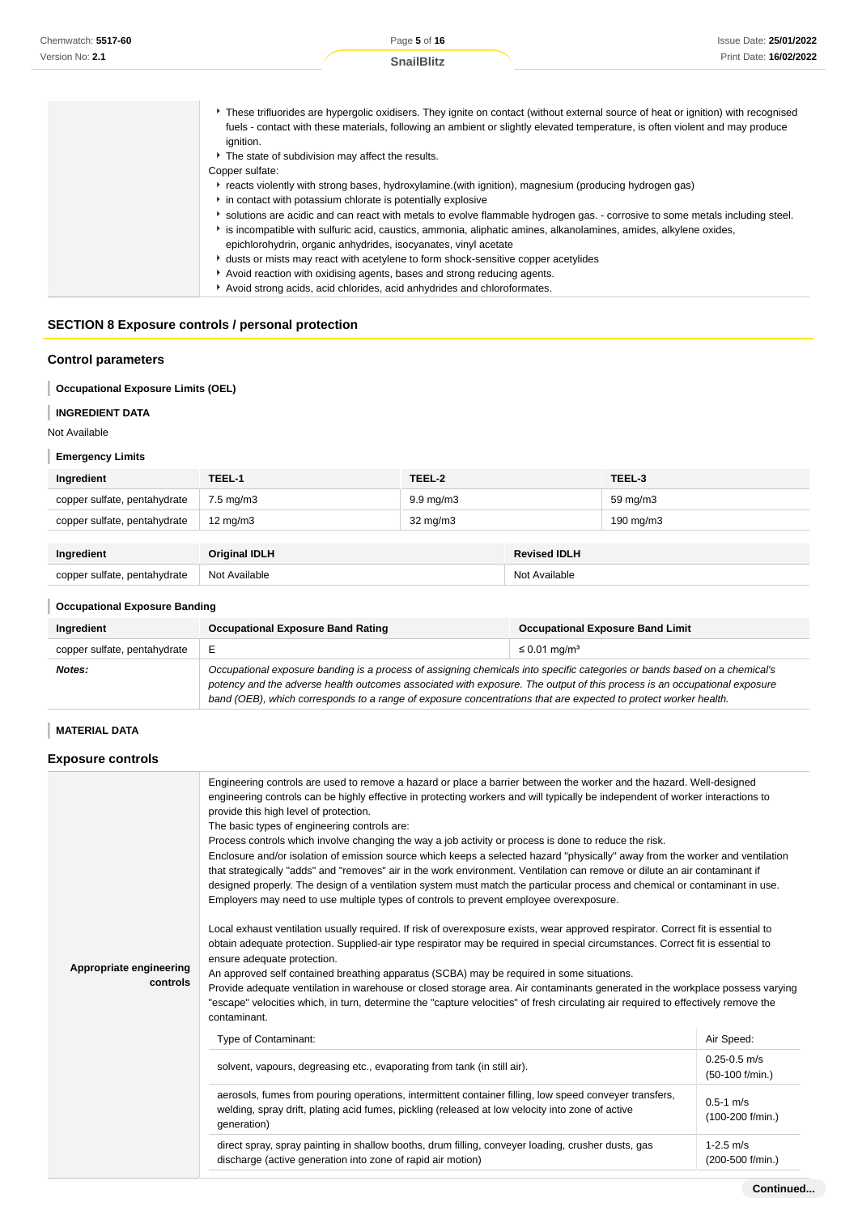| These trifluorides are hypergolic oxidisers. They ignite on contact (without external source of heat or ignition) with recognised<br>fuels - contact with these materials, following an ambient or slightly elevated temperature, is often violent and may produce<br>ignition. |
|---------------------------------------------------------------------------------------------------------------------------------------------------------------------------------------------------------------------------------------------------------------------------------|
| The state of subdivision may affect the results.                                                                                                                                                                                                                                |
| Copper sulfate:                                                                                                                                                                                                                                                                 |
| reacts violently with strong bases, hydroxylamine. (with ignition), magnesium (producing hydrogen gas)                                                                                                                                                                          |
| • in contact with potassium chlorate is potentially explosive                                                                                                                                                                                                                   |
| Solutions are acidic and can react with metals to evolve flammable hydrogen gas. - corrosive to some metals including steel.                                                                                                                                                    |
| is incompatible with sulfuric acid, caustics, ammonia, aliphatic amines, alkanolamines, amides, alkylene oxides,                                                                                                                                                                |
| epichlorohydrin, organic anhydrides, isocyanates, vinyl acetate                                                                                                                                                                                                                 |
| * dusts or mists may react with acetylene to form shock-sensitive copper acetylides                                                                                                                                                                                             |
| Avoid reaction with oxidising agents, bases and strong reducing agents.                                                                                                                                                                                                         |
| Avoid strong acids, acid chlorides, acid anhydrides and chloroformates.                                                                                                                                                                                                         |

### **SECTION 8 Exposure controls / personal protection**

### **Control parameters**

**Occupational Exposure Limits (OEL)**

#### **INGREDIENT DATA** I

Not Available

#### **Emergency Limits**

| Ingredient                   | TEEL-1               | TEEL-2             |                     | TEEL-3             |
|------------------------------|----------------------|--------------------|---------------------|--------------------|
| copper sulfate, pentahydrate | $7.5 \text{ mg/m}$ 3 | $9.9 \text{ mg/m}$ |                     | 59 mg/m3           |
| copper sulfate, pentahydrate | $12 \text{ mg/m}$    | $32 \text{ mg/m}$  |                     | $190 \text{ mg/m}$ |
|                              |                      |                    |                     |                    |
| Ingredient                   | <b>Original IDLH</b> |                    | <b>Revised IDLH</b> |                    |
| copper sulfate, pentahydrate | Not Available        |                    | Not Available       |                    |

### **Occupational Exposure Banding**

| Ingredient                   | <b>Occupational Exposure Band Rating</b>                                                                                                                                                                                                                                                                                                                                 | <b>Occupational Exposure Band Limit</b> |
|------------------------------|--------------------------------------------------------------------------------------------------------------------------------------------------------------------------------------------------------------------------------------------------------------------------------------------------------------------------------------------------------------------------|-----------------------------------------|
| copper sulfate, pentahydrate |                                                                                                                                                                                                                                                                                                                                                                          | $\leq 0.01$ mg/m <sup>3</sup>           |
| Notes:                       | Occupational exposure banding is a process of assigning chemicals into specific categories or bands based on a chemical's<br>potency and the adverse health outcomes associated with exposure. The output of this process is an occupational exposure<br>band (OEB), which corresponds to a range of exposure concentrations that are expected to protect worker health. |                                         |

### **MATERIAL DATA**

### **Exposure controls**

| Appropriate engineering<br>controls | Engineering controls are used to remove a hazard or place a barrier between the worker and the hazard. Well-designed<br>engineering controls can be highly effective in protecting workers and will typically be independent of worker interactions to<br>provide this high level of protection.<br>The basic types of engineering controls are:<br>Process controls which involve changing the way a job activity or process is done to reduce the risk.<br>Enclosure and/or isolation of emission source which keeps a selected hazard "physically" away from the worker and ventilation<br>that strategically "adds" and "removes" air in the work environment. Ventilation can remove or dilute an air contaminant if<br>designed properly. The design of a ventilation system must match the particular process and chemical or contaminant in use.<br>Employers may need to use multiple types of controls to prevent employee overexposure.<br>Local exhaust ventilation usually required. If risk of overexposure exists, wear approved respirator. Correct fit is essential to<br>obtain adequate protection. Supplied-air type respirator may be required in special circumstances. Correct fit is essential to<br>ensure adequate protection.<br>An approved self contained breathing apparatus (SCBA) may be required in some situations.<br>Provide adequate ventilation in warehouse or closed storage area. Air contaminants generated in the workplace possess varying<br>"escape" velocities which, in turn, determine the "capture velocities" of fresh circulating air required to effectively remove the<br>contaminant. |                                     |
|-------------------------------------|----------------------------------------------------------------------------------------------------------------------------------------------------------------------------------------------------------------------------------------------------------------------------------------------------------------------------------------------------------------------------------------------------------------------------------------------------------------------------------------------------------------------------------------------------------------------------------------------------------------------------------------------------------------------------------------------------------------------------------------------------------------------------------------------------------------------------------------------------------------------------------------------------------------------------------------------------------------------------------------------------------------------------------------------------------------------------------------------------------------------------------------------------------------------------------------------------------------------------------------------------------------------------------------------------------------------------------------------------------------------------------------------------------------------------------------------------------------------------------------------------------------------------------------------------------------------------------------------------------------------------------------------|-------------------------------------|
|                                     | Type of Contaminant:                                                                                                                                                                                                                                                                                                                                                                                                                                                                                                                                                                                                                                                                                                                                                                                                                                                                                                                                                                                                                                                                                                                                                                                                                                                                                                                                                                                                                                                                                                                                                                                                                         | Air Speed:                          |
|                                     | solvent, vapours, degreasing etc., evaporating from tank (in still air).                                                                                                                                                                                                                                                                                                                                                                                                                                                                                                                                                                                                                                                                                                                                                                                                                                                                                                                                                                                                                                                                                                                                                                                                                                                                                                                                                                                                                                                                                                                                                                     | $0.25 - 0.5$ m/s<br>(50-100 f/min.) |
|                                     | aerosols, fumes from pouring operations, intermittent container filling, low speed conveyer transfers,<br>welding, spray drift, plating acid fumes, pickling (released at low velocity into zone of active<br>generation)                                                                                                                                                                                                                                                                                                                                                                                                                                                                                                                                                                                                                                                                                                                                                                                                                                                                                                                                                                                                                                                                                                                                                                                                                                                                                                                                                                                                                    | $0.5 - 1$ m/s<br>(100-200 f/min.)   |
|                                     | direct spray, spray painting in shallow booths, drum filling, conveyer loading, crusher dusts, gas<br>discharge (active generation into zone of rapid air motion)                                                                                                                                                                                                                                                                                                                                                                                                                                                                                                                                                                                                                                                                                                                                                                                                                                                                                                                                                                                                                                                                                                                                                                                                                                                                                                                                                                                                                                                                            | $1-2.5$ m/s<br>(200-500 f/min.)     |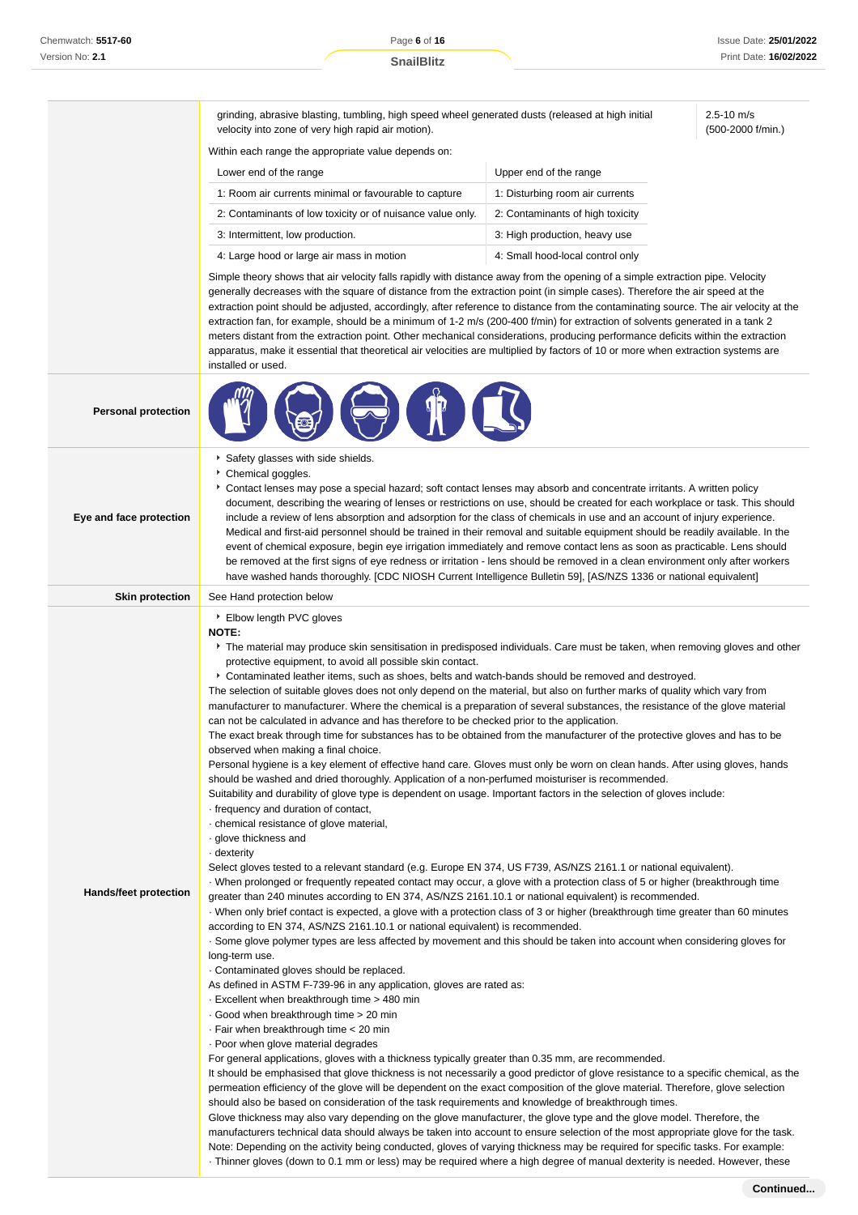2.5-10 m/s (500-2000 f/min.)

grinding, abrasive blasting, tumbling, high speed wheel generated dusts (released at high initial velocity into zone of very high rapid air motion).

Within each range the appropriate value depends on:

| Lower end of the range                                     | Upper end of the range           |  |
|------------------------------------------------------------|----------------------------------|--|
| 1: Room air currents minimal or favourable to capture      | 1: Disturbing room air currents  |  |
| 2: Contaminants of low toxicity or of nuisance value only. | 2: Contaminants of high toxicity |  |
| 3: Intermittent, low production.                           | 3: High production, heavy use    |  |
| 4: Large hood or large air mass in motion                  | 4: Small hood-local control only |  |

Simple theory shows that air velocity falls rapidly with distance away from the opening of a simple extraction pipe. Velocity generally decreases with the square of distance from the extraction point (in simple cases). Therefore the air speed at the extraction point should be adjusted, accordingly, after reference to distance from the contaminating source. The air velocity at the extraction fan, for example, should be a minimum of 1-2 m/s (200-400 f/min) for extraction of solvents generated in a tank 2 meters distant from the extraction point. Other mechanical considerations, producing performance deficits within the extraction apparatus, make it essential that theoretical air velocities are multiplied by factors of 10 or more when extraction systems are installed or used.

| <b>Personal protection</b>   |                                                                                                                                                                                                                                                                                                                                                                                                                                                                                                                                                                                                                                                                                                                                                                                                                                                                                                                                                                                                                                                                                                                                                                                                                                                                                                                                                                                                                                                                                                                                                                                                                                                                                                                                                                                                                                                                                                                                                                                                                                                                                                                                                                                                                                                                                                                                                                                                                                                                                                                                                                                                                                                                                                                                                                                                                                                                                                                                                                                                                                                                                                                                                                                                                                                                                                                                                                                                                    |  |  |  |
|------------------------------|--------------------------------------------------------------------------------------------------------------------------------------------------------------------------------------------------------------------------------------------------------------------------------------------------------------------------------------------------------------------------------------------------------------------------------------------------------------------------------------------------------------------------------------------------------------------------------------------------------------------------------------------------------------------------------------------------------------------------------------------------------------------------------------------------------------------------------------------------------------------------------------------------------------------------------------------------------------------------------------------------------------------------------------------------------------------------------------------------------------------------------------------------------------------------------------------------------------------------------------------------------------------------------------------------------------------------------------------------------------------------------------------------------------------------------------------------------------------------------------------------------------------------------------------------------------------------------------------------------------------------------------------------------------------------------------------------------------------------------------------------------------------------------------------------------------------------------------------------------------------------------------------------------------------------------------------------------------------------------------------------------------------------------------------------------------------------------------------------------------------------------------------------------------------------------------------------------------------------------------------------------------------------------------------------------------------------------------------------------------------------------------------------------------------------------------------------------------------------------------------------------------------------------------------------------------------------------------------------------------------------------------------------------------------------------------------------------------------------------------------------------------------------------------------------------------------------------------------------------------------------------------------------------------------------------------------------------------------------------------------------------------------------------------------------------------------------------------------------------------------------------------------------------------------------------------------------------------------------------------------------------------------------------------------------------------------------------------------------------------------------------------------------------------------|--|--|--|
| Eye and face protection      | Safety glasses with side shields.<br>Chemical goggles.<br>Contact lenses may pose a special hazard; soft contact lenses may absorb and concentrate irritants. A written policy<br>document, describing the wearing of lenses or restrictions on use, should be created for each workplace or task. This should<br>include a review of lens absorption and adsorption for the class of chemicals in use and an account of injury experience.<br>Medical and first-aid personnel should be trained in their removal and suitable equipment should be readily available. In the<br>event of chemical exposure, begin eye irrigation immediately and remove contact lens as soon as practicable. Lens should<br>be removed at the first signs of eye redness or irritation - lens should be removed in a clean environment only after workers<br>have washed hands thoroughly. [CDC NIOSH Current Intelligence Bulletin 59], [AS/NZS 1336 or national equivalent]                                                                                                                                                                                                                                                                                                                                                                                                                                                                                                                                                                                                                                                                                                                                                                                                                                                                                                                                                                                                                                                                                                                                                                                                                                                                                                                                                                                                                                                                                                                                                                                                                                                                                                                                                                                                                                                                                                                                                                                                                                                                                                                                                                                                                                                                                                                                                                                                                                                      |  |  |  |
| <b>Skin protection</b>       | See Hand protection below                                                                                                                                                                                                                                                                                                                                                                                                                                                                                                                                                                                                                                                                                                                                                                                                                                                                                                                                                                                                                                                                                                                                                                                                                                                                                                                                                                                                                                                                                                                                                                                                                                                                                                                                                                                                                                                                                                                                                                                                                                                                                                                                                                                                                                                                                                                                                                                                                                                                                                                                                                                                                                                                                                                                                                                                                                                                                                                                                                                                                                                                                                                                                                                                                                                                                                                                                                                          |  |  |  |
| <b>Hands/feet protection</b> | ▶ Elbow length PVC gloves<br><b>NOTE:</b><br>▶ The material may produce skin sensitisation in predisposed individuals. Care must be taken, when removing gloves and other<br>protective equipment, to avoid all possible skin contact.<br>Contaminated leather items, such as shoes, belts and watch-bands should be removed and destroyed.<br>The selection of suitable gloves does not only depend on the material, but also on further marks of quality which vary from<br>manufacturer to manufacturer. Where the chemical is a preparation of several substances, the resistance of the glove material<br>can not be calculated in advance and has therefore to be checked prior to the application.<br>The exact break through time for substances has to be obtained from the manufacturer of the protective gloves and has to be<br>observed when making a final choice.<br>Personal hygiene is a key element of effective hand care. Gloves must only be worn on clean hands. After using gloves, hands<br>should be washed and dried thoroughly. Application of a non-perfumed moisturiser is recommended.<br>Suitability and durability of glove type is dependent on usage. Important factors in the selection of gloves include:<br>frequency and duration of contact,<br>· chemical resistance of glove material,<br>· glove thickness and<br>dexterity -<br>Select gloves tested to a relevant standard (e.g. Europe EN 374, US F739, AS/NZS 2161.1 or national equivalent).<br>When prolonged or frequently repeated contact may occur, a glove with a protection class of 5 or higher (breakthrough time<br>greater than 240 minutes according to EN 374, AS/NZS 2161.10.1 or national equivalent) is recommended.<br>When only brief contact is expected, a glove with a protection class of 3 or higher (breakthrough time greater than 60 minutes<br>according to EN 374, AS/NZS 2161.10.1 or national equivalent) is recommended.<br>. Some glove polymer types are less affected by movement and this should be taken into account when considering gloves for<br>long-term use.<br>Contaminated gloves should be replaced.<br>As defined in ASTM F-739-96 in any application, gloves are rated as:<br>Excellent when breakthrough time > 480 min<br>Good when breakthrough time > 20 min<br>⋅ Fair when breakthrough time < 20 min<br>· Poor when glove material degrades<br>For general applications, gloves with a thickness typically greater than 0.35 mm, are recommended.<br>It should be emphasised that glove thickness is not necessarily a good predictor of glove resistance to a specific chemical, as the<br>permeation efficiency of the glove will be dependent on the exact composition of the glove material. Therefore, glove selection<br>should also be based on consideration of the task requirements and knowledge of breakthrough times.<br>Glove thickness may also vary depending on the glove manufacturer, the glove type and the glove model. Therefore, the<br>manufacturers technical data should always be taken into account to ensure selection of the most appropriate glove for the task.<br>Note: Depending on the activity being conducted, gloves of varying thickness may be required for specific tasks. For example:<br>Thinner gloves (down to 0.1 mm or less) may be required where a high degree of manual dexterity is needed. However, these |  |  |  |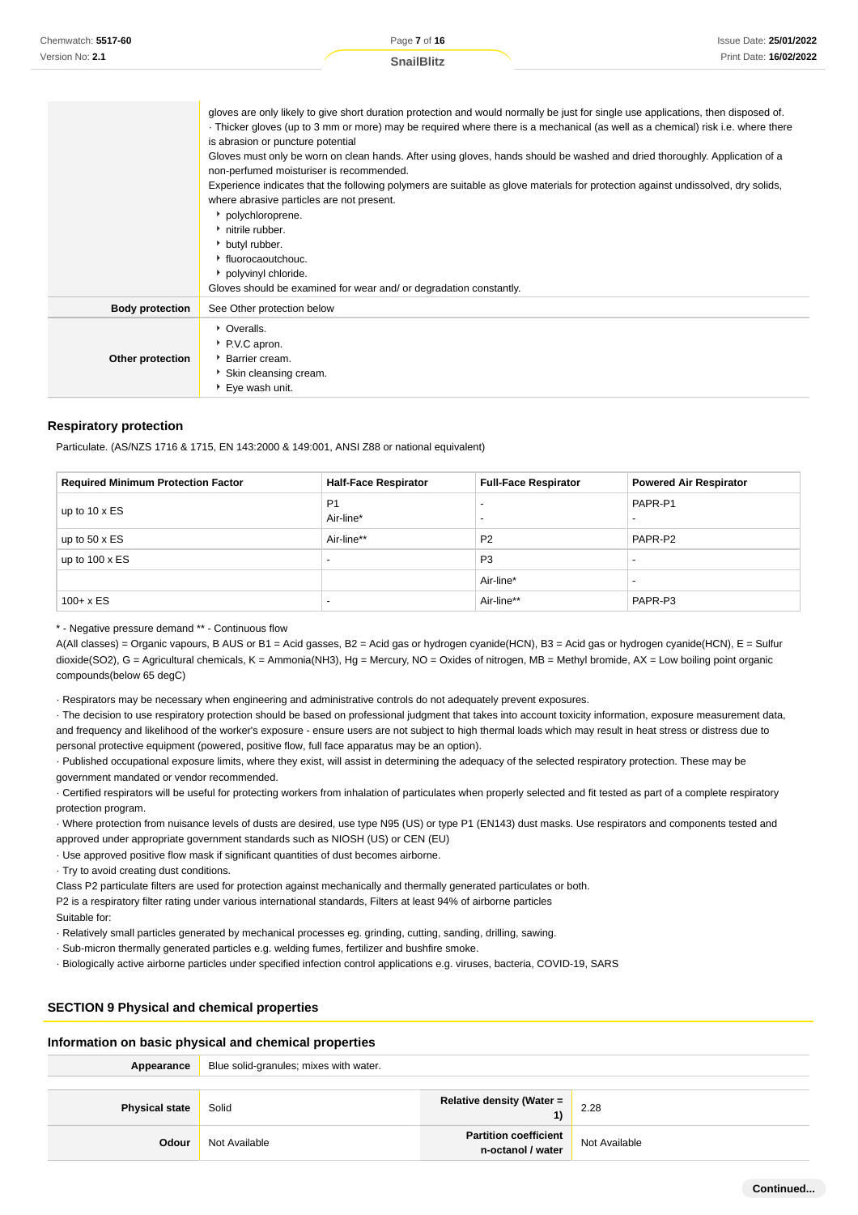| Chemwatch: 5517-60 | Page 7 of 16      | Issue Date: 25/01/2022 |
|--------------------|-------------------|------------------------|
| Version No: 2.1    | <b>SnailBlitz</b> | Print Date: 16/02/2022 |
|                    |                   |                        |

|                        | gloves are only likely to give short duration protection and would normally be just for single use applications, then disposed of.<br>Thicker gloves (up to 3 mm or more) may be required where there is a mechanical (as well as a chemical) risk i.e. where there |
|------------------------|---------------------------------------------------------------------------------------------------------------------------------------------------------------------------------------------------------------------------------------------------------------------|
|                        | is abrasion or puncture potential                                                                                                                                                                                                                                   |
|                        | Gloves must only be worn on clean hands. After using gloves, hands should be washed and dried thoroughly. Application of a<br>non-perfumed moisturiser is recommended.                                                                                              |
|                        | Experience indicates that the following polymers are suitable as glove materials for protection against undissolved, dry solids,                                                                                                                                    |
|                        | where abrasive particles are not present.                                                                                                                                                                                                                           |
|                        | • polychloroprene.                                                                                                                                                                                                                                                  |
|                        | hitrile rubber.                                                                                                                                                                                                                                                     |
|                        | butyl rubber.                                                                                                                                                                                                                                                       |
|                        | ▸ fluorocaoutchouc.                                                                                                                                                                                                                                                 |
|                        | polyvinyl chloride.                                                                                                                                                                                                                                                 |
|                        | Gloves should be examined for wear and/ or degradation constantly.                                                                                                                                                                                                  |
| <b>Body protection</b> | See Other protection below                                                                                                                                                                                                                                          |
|                        | • Overalls.                                                                                                                                                                                                                                                         |
|                        | ▶ P.V.C apron.                                                                                                                                                                                                                                                      |
| Other protection       | ▶ Barrier cream.                                                                                                                                                                                                                                                    |
|                        | Skin cleansing cream.                                                                                                                                                                                                                                               |
|                        | ▶ Eye wash unit.                                                                                                                                                                                                                                                    |

#### **Respiratory protection**

Particulate. (AS/NZS 1716 & 1715, EN 143:2000 & 149:001, ANSI Z88 or national equivalent)

| <b>Required Minimum Protection Factor</b> | <b>Half-Face Respirator</b> | <b>Full-Face Respirator</b> | <b>Powered Air Respirator</b> |
|-------------------------------------------|-----------------------------|-----------------------------|-------------------------------|
| up to $10 \times ES$                      | P <sub>1</sub><br>Air-line* |                             | PAPR-P1                       |
| up to $50 \times ES$                      | Air-line**                  | P <sub>2</sub>              | PAPR-P2                       |
| up to $100 \times ES$                     | $\overline{\phantom{0}}$    | P <sub>3</sub>              |                               |
|                                           |                             | Air-line*                   |                               |
| $100 + x ES$                              |                             | Air-line**                  | PAPR-P3                       |

\* - Negative pressure demand \*\* - Continuous flow

A(All classes) = Organic vapours, B AUS or B1 = Acid gasses, B2 = Acid gas or hydrogen cyanide(HCN), B3 = Acid gas or hydrogen cyanide(HCN), E = Sulfur dioxide(SO2), G = Agricultural chemicals, K = Ammonia(NH3), Hg = Mercury, NO = Oxides of nitrogen, MB = Methyl bromide, AX = Low boiling point organic compounds(below 65 degC)

· Respirators may be necessary when engineering and administrative controls do not adequately prevent exposures.

· The decision to use respiratory protection should be based on professional judgment that takes into account toxicity information, exposure measurement data, and frequency and likelihood of the worker's exposure - ensure users are not subject to high thermal loads which may result in heat stress or distress due to personal protective equipment (powered, positive flow, full face apparatus may be an option).

· Published occupational exposure limits, where they exist, will assist in determining the adequacy of the selected respiratory protection. These may be government mandated or vendor recommended.

· Certified respirators will be useful for protecting workers from inhalation of particulates when properly selected and fit tested as part of a complete respiratory protection program.

· Where protection from nuisance levels of dusts are desired, use type N95 (US) or type P1 (EN143) dust masks. Use respirators and components tested and approved under appropriate government standards such as NIOSH (US) or CEN (EU)

· Use approved positive flow mask if significant quantities of dust becomes airborne.

· Try to avoid creating dust conditions.

Class P2 particulate filters are used for protection against mechanically and thermally generated particulates or both.

P2 is a respiratory filter rating under various international standards, Filters at least 94% of airborne particles

Suitable for:

· Relatively small particles generated by mechanical processes eg. grinding, cutting, sanding, drilling, sawing.

- · Sub-micron thermally generated particles e.g. welding fumes, fertilizer and bushfire smoke.
- · Biologically active airborne particles under specified infection control applications e.g. viruses, bacteria, COVID-19, SARS

#### **SECTION 9 Physical and chemical properties**

#### **Information on basic physical and chemical properties**

| Appearance            | Blue solid-granules; mixes with water. |                                        |               |  |
|-----------------------|----------------------------------------|----------------------------------------|---------------|--|
|                       |                                        |                                        |               |  |
| <b>Physical state</b> | Solid                                  | <b>Relative density (Water =</b><br>1) | 2.28          |  |
| <b>Odour</b>          | Not Available                          | <b>Partition coefficient</b>           | Not Available |  |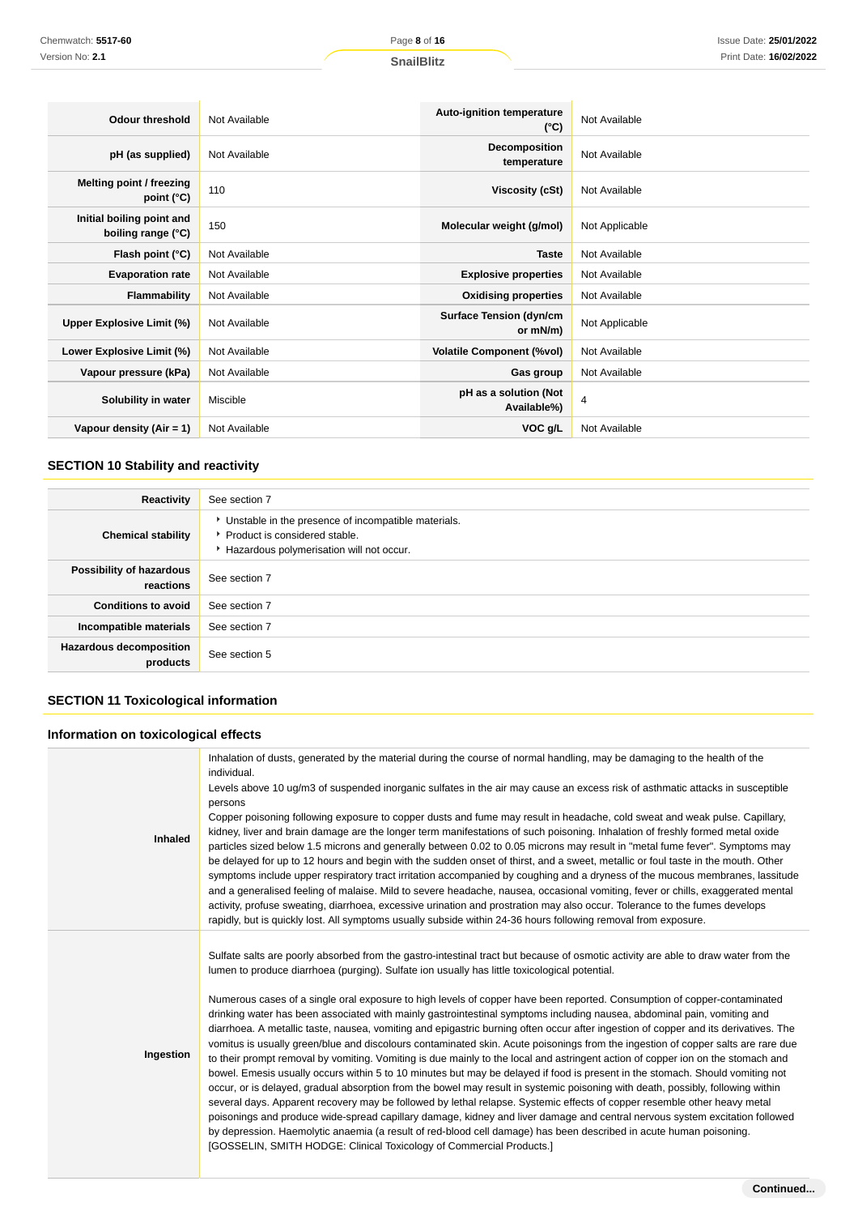| <b>Odour threshold</b>                          | Not Available | <b>Auto-ignition temperature</b><br>$(^{\circ}C)$ | Not Available  |
|-------------------------------------------------|---------------|---------------------------------------------------|----------------|
| pH (as supplied)                                | Not Available | Decomposition<br>temperature                      | Not Available  |
| Melting point / freezing<br>point $(^{\circ}C)$ | 110           | <b>Viscosity (cSt)</b>                            | Not Available  |
| Initial boiling point and<br>boiling range (°C) | 150           | Molecular weight (g/mol)                          | Not Applicable |
| Flash point (°C)                                | Not Available | <b>Taste</b>                                      | Not Available  |
| <b>Evaporation rate</b>                         | Not Available | <b>Explosive properties</b>                       | Not Available  |
| Flammability                                    | Not Available | <b>Oxidising properties</b>                       | Not Available  |
| Upper Explosive Limit (%)                       | Not Available | <b>Surface Tension (dyn/cm</b><br>or mN/m)        | Not Applicable |
| Lower Explosive Limit (%)                       | Not Available | <b>Volatile Component (%vol)</b>                  | Not Available  |
| Vapour pressure (kPa)                           | Not Available | Gas group                                         | Not Available  |
| Solubility in water                             | Miscible      | pH as a solution (Not<br>Available%)              | $\overline{4}$ |
| Vapour density $(Air = 1)$                      | Not Available | VOC g/L                                           | Not Available  |

## **SECTION 10 Stability and reactivity**

| Reactivity                                 | See section 7                                                                                                                        |
|--------------------------------------------|--------------------------------------------------------------------------------------------------------------------------------------|
| <b>Chemical stability</b>                  | • Unstable in the presence of incompatible materials.<br>▶ Product is considered stable.<br>Hazardous polymerisation will not occur. |
| Possibility of hazardous<br>reactions      | See section 7                                                                                                                        |
| <b>Conditions to avoid</b>                 | See section 7                                                                                                                        |
| Incompatible materials                     | See section 7                                                                                                                        |
| <b>Hazardous decomposition</b><br>products | See section 5                                                                                                                        |

## **SECTION 11 Toxicological information**

### **Information on toxicological effects**

| <b>Inhaled</b> | Inhalation of dusts, generated by the material during the course of normal handling, may be damaging to the health of the<br>individual.<br>Levels above 10 ug/m3 of suspended inorganic sulfates in the air may cause an excess risk of asthmatic attacks in susceptible<br>persons<br>Copper poisoning following exposure to copper dusts and fume may result in headache, cold sweat and weak pulse. Capillary,<br>kidney, liver and brain damage are the longer term manifestations of such poisoning. Inhalation of freshly formed metal oxide<br>particles sized below 1.5 microns and generally between 0.02 to 0.05 microns may result in "metal fume fever". Symptoms may<br>be delayed for up to 12 hours and begin with the sudden onset of thirst, and a sweet, metallic or foul taste in the mouth. Other<br>symptoms include upper respiratory tract irritation accompanied by coughing and a dryness of the mucous membranes, lassitude<br>and a generalised feeling of malaise. Mild to severe headache, nausea, occasional vomiting, fever or chills, exaggerated mental<br>activity, profuse sweating, diarrhoea, excessive urination and prostration may also occur. Tolerance to the fumes develops<br>rapidly, but is quickly lost. All symptoms usually subside within 24-36 hours following removal from exposure.                                                                                                                                                                                                                                                                                             |
|----------------|---------------------------------------------------------------------------------------------------------------------------------------------------------------------------------------------------------------------------------------------------------------------------------------------------------------------------------------------------------------------------------------------------------------------------------------------------------------------------------------------------------------------------------------------------------------------------------------------------------------------------------------------------------------------------------------------------------------------------------------------------------------------------------------------------------------------------------------------------------------------------------------------------------------------------------------------------------------------------------------------------------------------------------------------------------------------------------------------------------------------------------------------------------------------------------------------------------------------------------------------------------------------------------------------------------------------------------------------------------------------------------------------------------------------------------------------------------------------------------------------------------------------------------------------------------------------------------------------------------------------------------------|
| Ingestion      | Sulfate salts are poorly absorbed from the gastro-intestinal tract but because of osmotic activity are able to draw water from the<br>lumen to produce diarrhoea (purging). Sulfate ion usually has little toxicological potential.<br>Numerous cases of a single oral exposure to high levels of copper have been reported. Consumption of copper-contaminated<br>drinking water has been associated with mainly gastrointestinal symptoms including nausea, abdominal pain, vomiting and<br>diarrhoea. A metallic taste, nausea, vomiting and epigastric burning often occur after ingestion of copper and its derivatives. The<br>vomitus is usually green/blue and discolours contaminated skin. Acute poisonings from the ingestion of copper salts are rare due<br>to their prompt removal by vomiting. Vomiting is due mainly to the local and astringent action of copper ion on the stomach and<br>bowel. Emesis usually occurs within 5 to 10 minutes but may be delayed if food is present in the stomach. Should vomiting not<br>occur, or is delayed, gradual absorption from the bowel may result in systemic poisoning with death, possibly, following within<br>several days. Apparent recovery may be followed by lethal relapse. Systemic effects of copper resemble other heavy metal<br>poisonings and produce wide-spread capillary damage, kidney and liver damage and central nervous system excitation followed<br>by depression. Haemolytic anaemia (a result of red-blood cell damage) has been described in acute human poisoning.<br>[GOSSELIN, SMITH HODGE: Clinical Toxicology of Commercial Products.] |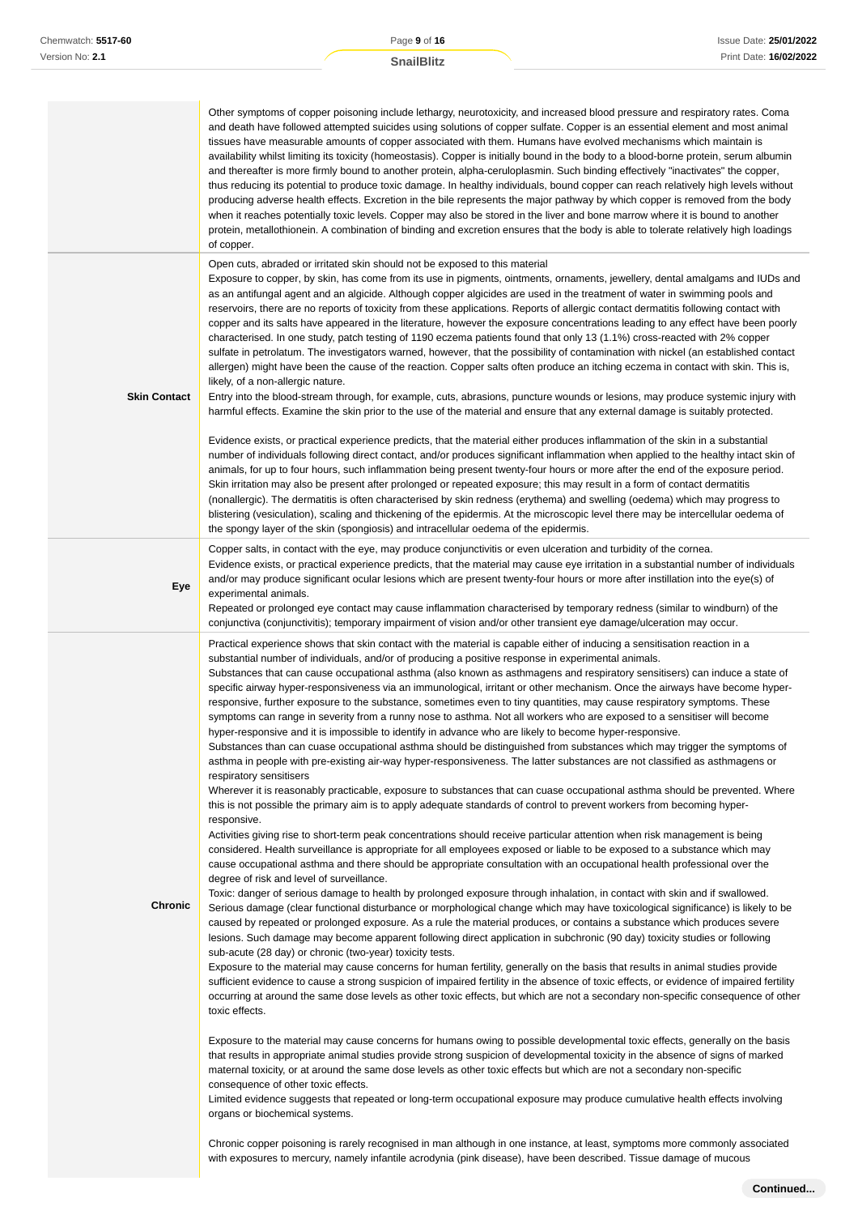|                     | Other symptoms of copper poisoning include lethargy, neurotoxicity, and increased blood pressure and respiratory rates. Coma<br>and death have followed attempted suicides using solutions of copper sulfate. Copper is an essential element and most animal<br>tissues have measurable amounts of copper associated with them. Humans have evolved mechanisms which maintain is<br>availability whilst limiting its toxicity (homeostasis). Copper is initially bound in the body to a blood-borne protein, serum albumin<br>and thereafter is more firmly bound to another protein, alpha-ceruloplasmin. Such binding effectively "inactivates" the copper,<br>thus reducing its potential to produce toxic damage. In healthy individuals, bound copper can reach relatively high levels without<br>producing adverse health effects. Excretion in the bile represents the major pathway by which copper is removed from the body<br>when it reaches potentially toxic levels. Copper may also be stored in the liver and bone marrow where it is bound to another<br>protein, metallothionein. A combination of binding and excretion ensures that the body is able to tolerate relatively high loadings<br>of copper.                                                                                                                                                                                                                                                                                                                                                                                                                                                                                                                                                                                                                                                                                                                                                                                                                                                                                                                                                                                                                                                                                                                                                                                                                                                                                                                                                                                                                                                                                                                                                                                                                                                                                                                                                                                                                                                                                                                                                                                                                                                                                                                                                                                                                                                                                                                                                                                                                                                                                                                         |
|---------------------|----------------------------------------------------------------------------------------------------------------------------------------------------------------------------------------------------------------------------------------------------------------------------------------------------------------------------------------------------------------------------------------------------------------------------------------------------------------------------------------------------------------------------------------------------------------------------------------------------------------------------------------------------------------------------------------------------------------------------------------------------------------------------------------------------------------------------------------------------------------------------------------------------------------------------------------------------------------------------------------------------------------------------------------------------------------------------------------------------------------------------------------------------------------------------------------------------------------------------------------------------------------------------------------------------------------------------------------------------------------------------------------------------------------------------------------------------------------------------------------------------------------------------------------------------------------------------------------------------------------------------------------------------------------------------------------------------------------------------------------------------------------------------------------------------------------------------------------------------------------------------------------------------------------------------------------------------------------------------------------------------------------------------------------------------------------------------------------------------------------------------------------------------------------------------------------------------------------------------------------------------------------------------------------------------------------------------------------------------------------------------------------------------------------------------------------------------------------------------------------------------------------------------------------------------------------------------------------------------------------------------------------------------------------------------------------------------------------------------------------------------------------------------------------------------------------------------------------------------------------------------------------------------------------------------------------------------------------------------------------------------------------------------------------------------------------------------------------------------------------------------------------------------------------------------------------------------------------------------------------------------------------------------------------------------------------------------------------------------------------------------------------------------------------------------------------------------------------------------------------------------------------------------------------------------------------------------------------------------------------------------------------------------------------------------------------------------------------------------------------------------|
| <b>Skin Contact</b> | Open cuts, abraded or irritated skin should not be exposed to this material<br>Exposure to copper, by skin, has come from its use in pigments, ointments, ornaments, jewellery, dental amalgams and IUDs and<br>as an antifungal agent and an algicide. Although copper algicides are used in the treatment of water in swimming pools and<br>reservoirs, there are no reports of toxicity from these applications. Reports of allergic contact dermatitis following contact with<br>copper and its salts have appeared in the literature, however the exposure concentrations leading to any effect have been poorly<br>characterised. In one study, patch testing of 1190 eczema patients found that only 13 (1.1%) cross-reacted with 2% copper<br>sulfate in petrolatum. The investigators warned, however, that the possibility of contamination with nickel (an established contact<br>allergen) might have been the cause of the reaction. Copper salts often produce an itching eczema in contact with skin. This is,<br>likely, of a non-allergic nature.<br>Entry into the blood-stream through, for example, cuts, abrasions, puncture wounds or lesions, may produce systemic injury with<br>harmful effects. Examine the skin prior to the use of the material and ensure that any external damage is suitably protected.                                                                                                                                                                                                                                                                                                                                                                                                                                                                                                                                                                                                                                                                                                                                                                                                                                                                                                                                                                                                                                                                                                                                                                                                                                                                                                                                                                                                                                                                                                                                                                                                                                                                                                                                                                                                                                                                                                                                                                                                                                                                                                                                                                                                                                                                                                                                                                                                             |
|                     | Evidence exists, or practical experience predicts, that the material either produces inflammation of the skin in a substantial<br>number of individuals following direct contact, and/or produces significant inflammation when applied to the healthy intact skin of<br>animals, for up to four hours, such inflammation being present twenty-four hours or more after the end of the exposure period.<br>Skin irritation may also be present after prolonged or repeated exposure; this may result in a form of contact dermatitis<br>(nonallergic). The dermatitis is often characterised by skin redness (erythema) and swelling (oedema) which may progress to<br>blistering (vesiculation), scaling and thickening of the epidermis. At the microscopic level there may be intercellular oedema of<br>the spongy layer of the skin (spongiosis) and intracellular oedema of the epidermis.                                                                                                                                                                                                                                                                                                                                                                                                                                                                                                                                                                                                                                                                                                                                                                                                                                                                                                                                                                                                                                                                                                                                                                                                                                                                                                                                                                                                                                                                                                                                                                                                                                                                                                                                                                                                                                                                                                                                                                                                                                                                                                                                                                                                                                                                                                                                                                                                                                                                                                                                                                                                                                                                                                                                                                                                                                                   |
| Eye                 | Copper salts, in contact with the eye, may produce conjunctivitis or even ulceration and turbidity of the cornea.<br>Evidence exists, or practical experience predicts, that the material may cause eye irritation in a substantial number of individuals<br>and/or may produce significant ocular lesions which are present twenty-four hours or more after instillation into the eye(s) of<br>experimental animals.<br>Repeated or prolonged eye contact may cause inflammation characterised by temporary redness (similar to windburn) of the<br>conjunctiva (conjunctivitis); temporary impairment of vision and/or other transient eye damage/ulceration may occur.                                                                                                                                                                                                                                                                                                                                                                                                                                                                                                                                                                                                                                                                                                                                                                                                                                                                                                                                                                                                                                                                                                                                                                                                                                                                                                                                                                                                                                                                                                                                                                                                                                                                                                                                                                                                                                                                                                                                                                                                                                                                                                                                                                                                                                                                                                                                                                                                                                                                                                                                                                                                                                                                                                                                                                                                                                                                                                                                                                                                                                                                          |
| Chronic             | Practical experience shows that skin contact with the material is capable either of inducing a sensitisation reaction in a<br>substantial number of individuals, and/or of producing a positive response in experimental animals.<br>Substances that can cause occupational asthma (also known as asthmagens and respiratory sensitisers) can induce a state of<br>specific airway hyper-responsiveness via an immunological, irritant or other mechanism. Once the airways have become hyper-<br>responsive, further exposure to the substance, sometimes even to tiny quantities, may cause respiratory symptoms. These<br>symptoms can range in severity from a runny nose to asthma. Not all workers who are exposed to a sensitiser will become<br>hyper-responsive and it is impossible to identify in advance who are likely to become hyper-responsive.<br>Substances than can cuase occupational asthma should be distinguished from substances which may trigger the symptoms of<br>asthma in people with pre-existing air-way hyper-responsiveness. The latter substances are not classified as asthmagens or<br>respiratory sensitisers<br>Wherever it is reasonably practicable, exposure to substances that can cuase occupational asthma should be prevented. Where<br>this is not possible the primary aim is to apply adequate standards of control to prevent workers from becoming hyper-<br>responsive.<br>Activities giving rise to short-term peak concentrations should receive particular attention when risk management is being<br>considered. Health surveillance is appropriate for all employees exposed or liable to be exposed to a substance which may<br>cause occupational asthma and there should be appropriate consultation with an occupational health professional over the<br>degree of risk and level of surveillance.<br>Toxic: danger of serious damage to health by prolonged exposure through inhalation, in contact with skin and if swallowed.<br>Serious damage (clear functional disturbance or morphological change which may have toxicological significance) is likely to be<br>caused by repeated or prolonged exposure. As a rule the material produces, or contains a substance which produces severe<br>lesions. Such damage may become apparent following direct application in subchronic (90 day) toxicity studies or following<br>sub-acute (28 day) or chronic (two-year) toxicity tests.<br>Exposure to the material may cause concerns for human fertility, generally on the basis that results in animal studies provide<br>sufficient evidence to cause a strong suspicion of impaired fertility in the absence of toxic effects, or evidence of impaired fertility<br>occurring at around the same dose levels as other toxic effects, but which are not a secondary non-specific consequence of other<br>toxic effects.<br>Exposure to the material may cause concerns for humans owing to possible developmental toxic effects, generally on the basis<br>that results in appropriate animal studies provide strong suspicion of developmental toxicity in the absence of signs of marked<br>maternal toxicity, or at around the same dose levels as other toxic effects but which are not a secondary non-specific<br>consequence of other toxic effects.<br>Limited evidence suggests that repeated or long-term occupational exposure may produce cumulative health effects involving<br>organs or biochemical systems.<br>Chronic copper poisoning is rarely recognised in man although in one instance, at least, symptoms more commonly associated<br>with exposures to mercury, namely infantile acrodynia (pink disease), have been described. Tissue damage of mucous |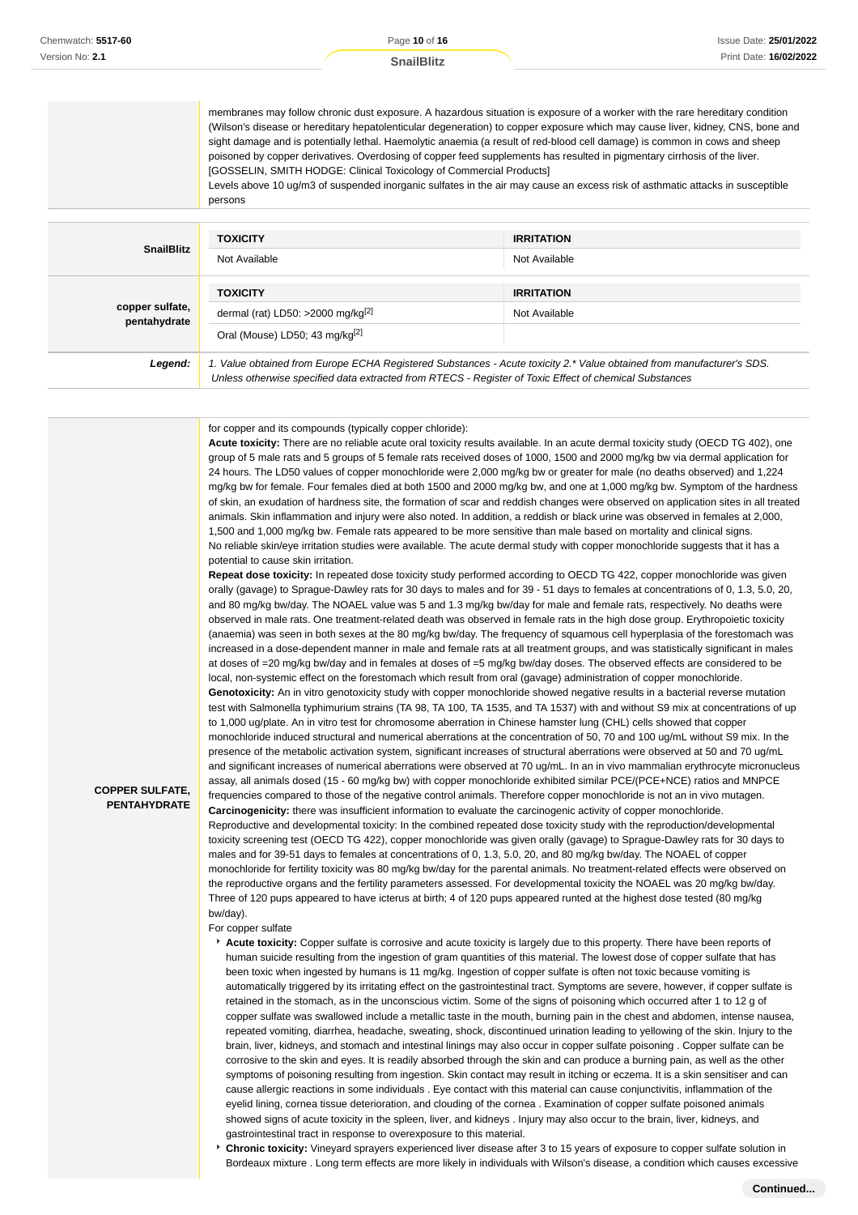membranes may follow chronic dust exposure. A hazardous situation is exposure of a worker with the rare hereditary condition (Wilson's disease or hereditary hepatolenticular degeneration) to copper exposure which may cause liver, kidney, CNS, bone and sight damage and is potentially lethal. Haemolytic anaemia (a result of red-blood cell damage) is common in cows and sheep poisoned by copper derivatives. Overdosing of copper feed supplements has resulted in pigmentary cirrhosis of the liver. [GOSSELIN, SMITH HODGE: Clinical Toxicology of Commercial Products]

Levels above 10 ug/m3 of suspended inorganic sulfates in the air may cause an excess risk of asthmatic attacks in susceptible persons

| <b>SnailBlitz</b>               | <b>TOXICITY</b><br>Not Available                                                                                                                                                                                                | <b>IRRITATION</b><br>Not Available |
|---------------------------------|---------------------------------------------------------------------------------------------------------------------------------------------------------------------------------------------------------------------------------|------------------------------------|
| copper sulfate,<br>pentahydrate | <b>TOXICITY</b><br>dermal (rat) LD50: >2000 mg/kg $[2]$<br>Oral (Mouse) LD50; 43 mg/kg <sup>[2]</sup>                                                                                                                           | <b>IRRITATION</b><br>Not Available |
| Legend:                         | 1. Value obtained from Europe ECHA Registered Substances - Acute toxicity 2.* Value obtained from manufacturer's SDS.<br>Unless otherwise specified data extracted from RTECS - Register of Toxic Effect of chemical Substances |                                    |

for copper and its compounds (typically copper chloride):

**Acute toxicity:** There are no reliable acute oral toxicity results available. In an acute dermal toxicity study (OECD TG 402), one group of 5 male rats and 5 groups of 5 female rats received doses of 1000, 1500 and 2000 mg/kg bw via dermal application for 24 hours. The LD50 values of copper monochloride were 2,000 mg/kg bw or greater for male (no deaths observed) and 1,224 mg/kg bw for female. Four females died at both 1500 and 2000 mg/kg bw, and one at 1,000 mg/kg bw. Symptom of the hardness of skin, an exudation of hardness site, the formation of scar and reddish changes were observed on application sites in all treated animals. Skin inflammation and injury were also noted. In addition, a reddish or black urine was observed in females at 2,000, 1,500 and 1,000 mg/kg bw. Female rats appeared to be more sensitive than male based on mortality and clinical signs. No reliable skin/eye irritation studies were available. The acute dermal study with copper monochloride suggests that it has a potential to cause skin irritation.

**Repeat dose toxicity:** In repeated dose toxicity study performed according to OECD TG 422, copper monochloride was given orally (gavage) to Sprague-Dawley rats for 30 days to males and for 39 - 51 days to females at concentrations of 0, 1.3, 5.0, 20, and 80 mg/kg bw/day. The NOAEL value was 5 and 1.3 mg/kg bw/day for male and female rats, respectively. No deaths were observed in male rats. One treatment-related death was observed in female rats in the high dose group. Erythropoietic toxicity (anaemia) was seen in both sexes at the 80 mg/kg bw/day. The frequency of squamous cell hyperplasia of the forestomach was increased in a dose-dependent manner in male and female rats at all treatment groups, and was statistically significant in males at doses of =20 mg/kg bw/day and in females at doses of =5 mg/kg bw/day doses. The observed effects are considered to be local, non-systemic effect on the forestomach which result from oral (gavage) administration of copper monochloride. **Genotoxicity:** An in vitro genotoxicity study with copper monochloride showed negative results in a bacterial reverse mutation test with Salmonella typhimurium strains (TA 98, TA 100, TA 1535, and TA 1537) with and without S9 mix at concentrations of up to 1,000 ug/plate. An in vitro test for chromosome aberration in Chinese hamster lung (CHL) cells showed that copper monochloride induced structural and numerical aberrations at the concentration of 50, 70 and 100 ug/mL without S9 mix. In the presence of the metabolic activation system, significant increases of structural aberrations were observed at 50 and 70 ug/mL and significant increases of numerical aberrations were observed at 70 ug/mL. In an in vivo mammalian erythrocyte micronucleus assay, all animals dosed (15 - 60 mg/kg bw) with copper monochloride exhibited similar PCE/(PCE+NCE) ratios and MNPCE frequencies compared to those of the negative control animals. Therefore copper monochloride is not an in vivo mutagen. **Carcinogenicity:** there was insufficient information to evaluate the carcinogenic activity of copper monochloride. Reproductive and developmental toxicity: In the combined repeated dose toxicity study with the reproduction/developmental toxicity screening test (OECD TG 422), copper monochloride was given orally (gavage) to Sprague-Dawley rats for 30 days to males and for 39-51 days to females at concentrations of 0, 1.3, 5.0, 20, and 80 mg/kg bw/day. The NOAEL of copper monochloride for fertility toxicity was 80 mg/kg bw/day for the parental animals. No treatment-related effects were observed on the reproductive organs and the fertility parameters assessed. For developmental toxicity the NOAEL was 20 mg/kg bw/day. Three of 120 pups appeared to have icterus at birth; 4 of 120 pups appeared runted at the highest dose tested (80 mg/kg bw/day).

For copper sulfate

**COPPER SULFATE, PENTAHYDRATE**

- **Acute toxicity:** Copper sulfate is corrosive and acute toxicity is largely due to this property. There have been reports of human suicide resulting from the ingestion of gram quantities of this material. The lowest dose of copper sulfate that has been toxic when ingested by humans is 11 mg/kg. Ingestion of copper sulfate is often not toxic because vomiting is automatically triggered by its irritating effect on the gastrointestinal tract. Symptoms are severe, however, if copper sulfate is retained in the stomach, as in the unconscious victim. Some of the signs of poisoning which occurred after 1 to 12 g of copper sulfate was swallowed include a metallic taste in the mouth, burning pain in the chest and abdomen, intense nausea, repeated vomiting, diarrhea, headache, sweating, shock, discontinued urination leading to yellowing of the skin. Injury to the brain, liver, kidneys, and stomach and intestinal linings may also occur in copper sulfate poisoning . Copper sulfate can be corrosive to the skin and eyes. It is readily absorbed through the skin and can produce a burning pain, as well as the other symptoms of poisoning resulting from ingestion. Skin contact may result in itching or eczema. It is a skin sensitiser and can cause allergic reactions in some individuals . Eye contact with this material can cause conjunctivitis, inflammation of the eyelid lining, cornea tissue deterioration, and clouding of the cornea . Examination of copper sulfate poisoned animals showed signs of acute toxicity in the spleen, liver, and kidneys . Injury may also occur to the brain, liver, kidneys, and gastrointestinal tract in response to overexposure to this material.
- **Chronic toxicity:** Vineyard sprayers experienced liver disease after 3 to 15 years of exposure to copper sulfate solution in Bordeaux mixture . Long term effects are more likely in individuals with Wilson's disease, a condition which causes excessive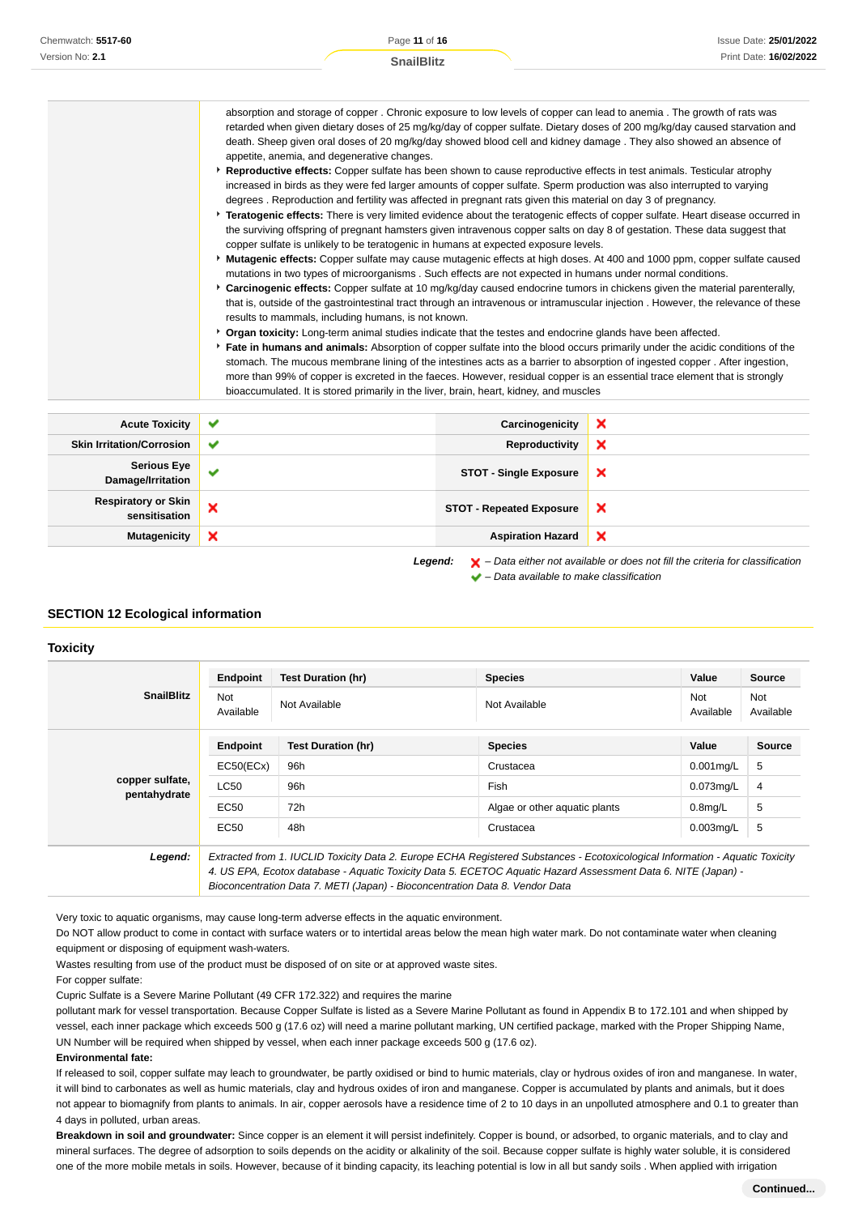| Chemwatch: 5517-60 | Page 11 of 16 |                   |                                                                                                                                                                                                                                          | Issue Date: 25/01/2022 |
|--------------------|---------------|-------------------|------------------------------------------------------------------------------------------------------------------------------------------------------------------------------------------------------------------------------------------|------------------------|
| Version No: 2.1    |               | <b>SnailBlitz</b> |                                                                                                                                                                                                                                          | Print Date: 16/02/2022 |
|                    |               |                   |                                                                                                                                                                                                                                          |                        |
|                    |               |                   |                                                                                                                                                                                                                                          |                        |
|                    |               |                   | absorption and storage of copper. Chronic exposure to low levels of copper can lead to anemia. The growth of rats was<br>strained and a strain derivative of AP said affirmation of the Contract of ANA said affirmation of the state of |                        |

retarded when given dietary doses of 25 mg/kg/day of copper sulfate. Dietary doses of 200 mg/kg/day caused starvation and death. Sheep given oral doses of 20 mg/kg/day showed blood cell and kidney damage . They also showed an absence of appetite, anemia, and degenerative changes. **Reproductive effects:** Copper sulfate has been shown to cause reproductive effects in test animals. Testicular atrophy

- increased in birds as they were fed larger amounts of copper sulfate. Sperm production was also interrupted to varying degrees . Reproduction and fertility was affected in pregnant rats given this material on day 3 of pregnancy.
- **Teratogenic effects:** There is very limited evidence about the teratogenic effects of copper sulfate. Heart disease occurred in the surviving offspring of pregnant hamsters given intravenous copper salts on day 8 of gestation. These data suggest that copper sulfate is unlikely to be teratogenic in humans at expected exposure levels.
- **Mutagenic effects:** Copper sulfate may cause mutagenic effects at high doses. At 400 and 1000 ppm, copper sulfate caused mutations in two types of microorganisms . Such effects are not expected in humans under normal conditions.
- **Carcinogenic effects:** Copper sulfate at 10 mg/kg/day caused endocrine tumors in chickens given the material parenterally, that is, outside of the gastrointestinal tract through an intravenous or intramuscular injection . However, the relevance of these results to mammals, including humans, is not known.
- **Provident toxicity:** Long-term animal studies indicate that the testes and endocrine glands have been affected.
- **Fate in humans and animals:** Absorption of copper sulfate into the blood occurs primarily under the acidic conditions of the stomach. The mucous membrane lining of the intestines acts as a barrier to absorption of ingested copper . After ingestion, more than 99% of copper is excreted in the faeces. However, residual copper is an essential trace element that is strongly bioaccumulated. It is stored primarily in the liver, brain, heart, kidney, and muscles

| <b>Acute Toxicity</b>                                                                                         | $\checkmark$              | Carcinogenicity                 | × |
|---------------------------------------------------------------------------------------------------------------|---------------------------|---------------------------------|---|
| <b>Skin Irritation/Corrosion</b>                                                                              | $\checkmark$              | Reproductivity                  | × |
| <b>Serious Eye</b><br>Damage/Irritation                                                                       | $\checkmark$              | <b>STOT - Single Exposure</b>   | × |
| <b>Respiratory or Skin</b><br>sensitisation                                                                   | ×                         | <b>STOT - Repeated Exposure</b> | × |
| <b>Mutagenicity</b>                                                                                           | $\boldsymbol{\mathsf{x}}$ | <b>Aspiration Hazard</b>        | × |
| $\blacktriangleright$ – Data either not available or does not fill the criteria for classification<br>Legend: |                           |                                 |   |

– Data available to make classification

### **SECTION 12 Ecological information**

#### **Toxicity**

|                                 | Endpoint                                                                                                                                                                                                                                       | <b>Test Duration (hr)</b> | <b>Species</b>                | Value                   | Source           |
|---------------------------------|------------------------------------------------------------------------------------------------------------------------------------------------------------------------------------------------------------------------------------------------|---------------------------|-------------------------------|-------------------------|------------------|
| <b>SnailBlitz</b>               | <b>Not</b><br>Available                                                                                                                                                                                                                        | Not Available             | Not Available                 | <b>Not</b><br>Available | Not<br>Available |
|                                 | Endpoint                                                                                                                                                                                                                                       | <b>Test Duration (hr)</b> | <b>Species</b>                | Value                   | <b>Source</b>    |
|                                 | EC50(ECx)                                                                                                                                                                                                                                      | 96h                       | Crustacea                     | $0.001$ mg/L            | 5                |
| copper sulfate,<br>pentahydrate | <b>LC50</b>                                                                                                                                                                                                                                    | 96h                       | Fish                          | $0.073$ mg/L            | 4                |
|                                 | EC50                                                                                                                                                                                                                                           | 72h                       | Algae or other aguatic plants | $0.8$ mg/L              | 5                |
|                                 | EC50                                                                                                                                                                                                                                           | 48h                       | Crustacea                     | $0.003$ mg/L            | 5                |
| Legend:                         | Extracted from 1. IUCLID Toxicity Data 2. Europe ECHA Registered Substances - Ecotoxicological Information - Aquatic Toxicity<br>4. US EPA, Ecotox database - Aquatic Toxicity Data 5. ECETOC Aquatic Hazard Assessment Data 6. NITE (Japan) - |                           |                               |                         |                  |

Very toxic to aquatic organisms, may cause long-term adverse effects in the aquatic environment.

Do NOT allow product to come in contact with surface waters or to intertidal areas below the mean high water mark. Do not contaminate water when cleaning equipment or disposing of equipment wash-waters.

Bioconcentration Data 7. METI (Japan) - Bioconcentration Data 8. Vendor Data

Wastes resulting from use of the product must be disposed of on site or at approved waste sites.

For copper sulfate:

Cupric Sulfate is a Severe Marine Pollutant (49 CFR 172.322) and requires the marine

pollutant mark for vessel transportation. Because Copper Sulfate is listed as a Severe Marine Pollutant as found in Appendix B to 172.101 and when shipped by vessel, each inner package which exceeds 500 g (17.6 oz) will need a marine pollutant marking, UN certified package, marked with the Proper Shipping Name, UN Number will be required when shipped by vessel, when each inner package exceeds 500 g (17.6 oz).

#### **Environmental fate:**

If released to soil, copper sulfate may leach to groundwater, be partly oxidised or bind to humic materials, clay or hydrous oxides of iron and manganese. In water, it will bind to carbonates as well as humic materials, clay and hydrous oxides of iron and manganese. Copper is accumulated by plants and animals, but it does not appear to biomagnify from plants to animals. In air, copper aerosols have a residence time of 2 to 10 days in an unpolluted atmosphere and 0.1 to greater than 4 days in polluted, urban areas.

**Breakdown in soil and groundwater:** Since copper is an element it will persist indefinitely. Copper is bound, or adsorbed, to organic materials, and to clay and mineral surfaces. The degree of adsorption to soils depends on the acidity or alkalinity of the soil. Because copper sulfate is highly water soluble, it is considered one of the more mobile metals in soils. However, because of it binding capacity, its leaching potential is low in all but sandy soils . When applied with irrigation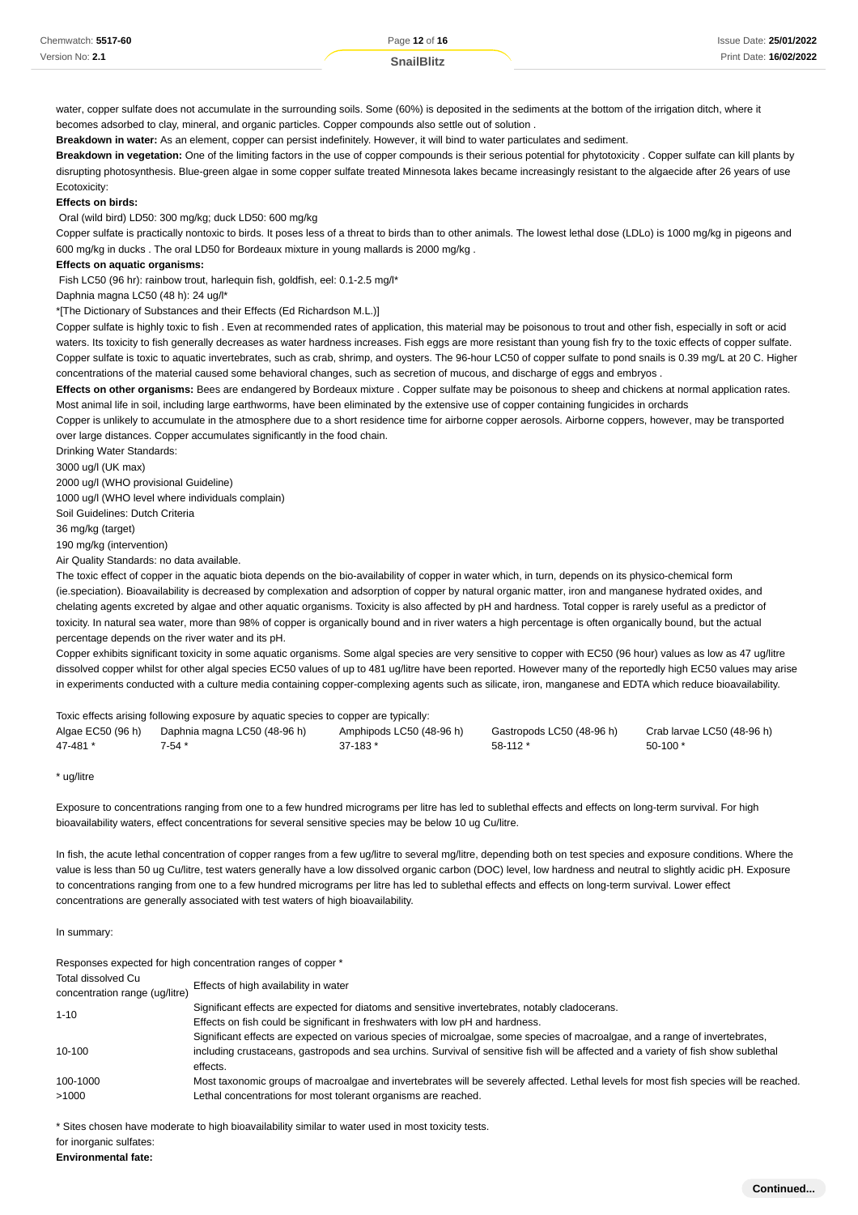| Chemwatch: 5517-60 | Page 12 of 16     | Issue Date: 25/01/2022 |
|--------------------|-------------------|------------------------|
| Version No: 2.1    | <b>SnailBlitz</b> | Print Date: 16/02/2022 |

water, copper sulfate does not accumulate in the surrounding soils. Some (60%) is deposited in the sediments at the bottom of the irrigation ditch, where it becomes adsorbed to clay, mineral, and organic particles. Copper compounds also settle out of solution .

**Breakdown in water:** As an element, copper can persist indefinitely. However, it will bind to water particulates and sediment.

**Breakdown in vegetation:** One of the limiting factors in the use of copper compounds is their serious potential for phytotoxicity . Copper sulfate can kill plants by disrupting photosynthesis. Blue-green algae in some copper sulfate treated Minnesota lakes became increasingly resistant to the algaecide after 26 years of use Ecotoxicity:

**Effects on birds:**

Oral (wild bird) LD50: 300 mg/kg; duck LD50: 600 mg/kg

Copper sulfate is practically nontoxic to birds. It poses less of a threat to birds than to other animals. The lowest lethal dose (LDLo) is 1000 mg/kg in pigeons and 600 mg/kg in ducks . The oral LD50 for Bordeaux mixture in young mallards is 2000 mg/kg .

#### **Effects on aquatic organisms:**

Fish LC50 (96 hr): rainbow trout, harlequin fish, goldfish, eel: 0.1-2.5 mg/l\*

Daphnia magna LC50 (48 h): 24 ug/l\*

\*[The Dictionary of Substances and their Effects (Ed Richardson M.L.)]

Copper sulfate is highly toxic to fish . Even at recommended rates of application, this material may be poisonous to trout and other fish, especially in soft or acid waters. Its toxicity to fish generally decreases as water hardness increases. Fish eggs are more resistant than young fish fry to the toxic effects of copper sulfate. Copper sulfate is toxic to aquatic invertebrates, such as crab, shrimp, and oysters. The 96-hour LC50 of copper sulfate to pond snails is 0.39 mg/L at 20 C. Higher concentrations of the material caused some behavioral changes, such as secretion of mucous, and discharge of eggs and embryos .

**Effects on other organisms:** Bees are endangered by Bordeaux mixture . Copper sulfate may be poisonous to sheep and chickens at normal application rates. Most animal life in soil, including large earthworms, have been eliminated by the extensive use of copper containing fungicides in orchards

Copper is unlikely to accumulate in the atmosphere due to a short residence time for airborne copper aerosols. Airborne coppers, however, may be transported over large distances. Copper accumulates significantly in the food chain.

Drinking Water Standards:

3000 ug/l (UK max)

2000 ug/l (WHO provisional Guideline)

1000 ug/l (WHO level where individuals complain)

Soil Guidelines: Dutch Criteria

36 mg/kg (target)

190 mg/kg (intervention)

Air Quality Standards: no data available.

The toxic effect of copper in the aquatic biota depends on the bio-availability of copper in water which, in turn, depends on its physico-chemical form (ie.speciation). Bioavailability is decreased by complexation and adsorption of copper by natural organic matter, iron and manganese hydrated oxides, and chelating agents excreted by algae and other aquatic organisms. Toxicity is also affected by pH and hardness. Total copper is rarely useful as a predictor of toxicity. In natural sea water, more than 98% of copper is organically bound and in river waters a high percentage is often organically bound, but the actual percentage depends on the river water and its pH.

Copper exhibits significant toxicity in some aquatic organisms. Some algal species are very sensitive to copper with EC50 (96 hour) values as low as 47 ug/litre dissolved copper whilst for other algal species EC50 values of up to 481 ug/litre have been reported. However many of the reportedly high EC50 values may arise in experiments conducted with a culture media containing copper-complexing agents such as silicate, iron, manganese and EDTA which reduce bioavailability.

| Toxic effects arising following exposure by aquatic species to copper are typically: |                              |                          |                           |                            |  |
|--------------------------------------------------------------------------------------|------------------------------|--------------------------|---------------------------|----------------------------|--|
| Algae EC50 (96 h)                                                                    | Daphnia magna LC50 (48-96 h) | Amphipods LC50 (48-96 h) | Gastropods LC50 (48-96 h) | Crab larvae LC50 (48-96 h) |  |
| 47-481 *                                                                             | 7-54 *                       | 37-183 *                 | $58-112$ *                | $50-100*$                  |  |

<sup>\*</sup> ug/litre

Exposure to concentrations ranging from one to a few hundred micrograms per litre has led to sublethal effects and effects on long-term survival. For high bioavailability waters, effect concentrations for several sensitive species may be below 10 ug Cu/litre.

In fish, the acute lethal concentration of copper ranges from a few ug/litre to several mg/litre, depending both on test species and exposure conditions. Where the value is less than 50 ug Cu/litre, test waters generally have a low dissolved organic carbon (DOC) level, low hardness and neutral to slightly acidic pH. Exposure to concentrations ranging from one to a few hundred micrograms per litre has led to sublethal effects and effects on long-term survival. Lower effect concentrations are generally associated with test waters of high bioavailability.

In summary:

|                                                      | Responses expected for high concentration ranges of copper *                                                                                    |
|------------------------------------------------------|-------------------------------------------------------------------------------------------------------------------------------------------------|
| Total dissolved Cu<br>concentration range (ug/litre) | Effects of high availability in water                                                                                                           |
| $1 - 10$                                             | Significant effects are expected for diatoms and sensitive invertebrates, notably cladocerans.                                                  |
|                                                      | Effects on fish could be significant in freshwaters with low pH and hardness.                                                                   |
|                                                      | Significant effects are expected on various species of microalgae, some species of macroalgae, and a range of invertebrates,                    |
| $10 - 100$                                           | including crustaceans, gastropods and sea urchins. Survival of sensitive fish will be affected and a variety of fish show sublethal<br>effects. |
| 100-1000                                             | Most taxonomic groups of macroalgae and invertebrates will be severely affected. Lethal levels for most fish species will be reached.           |
| >1000                                                | Lethal concentrations for most tolerant organisms are reached.                                                                                  |

\* Sites chosen have moderate to high bioavailability similar to water used in most toxicity tests.

for inorganic sulfates:

**Environmental fate:**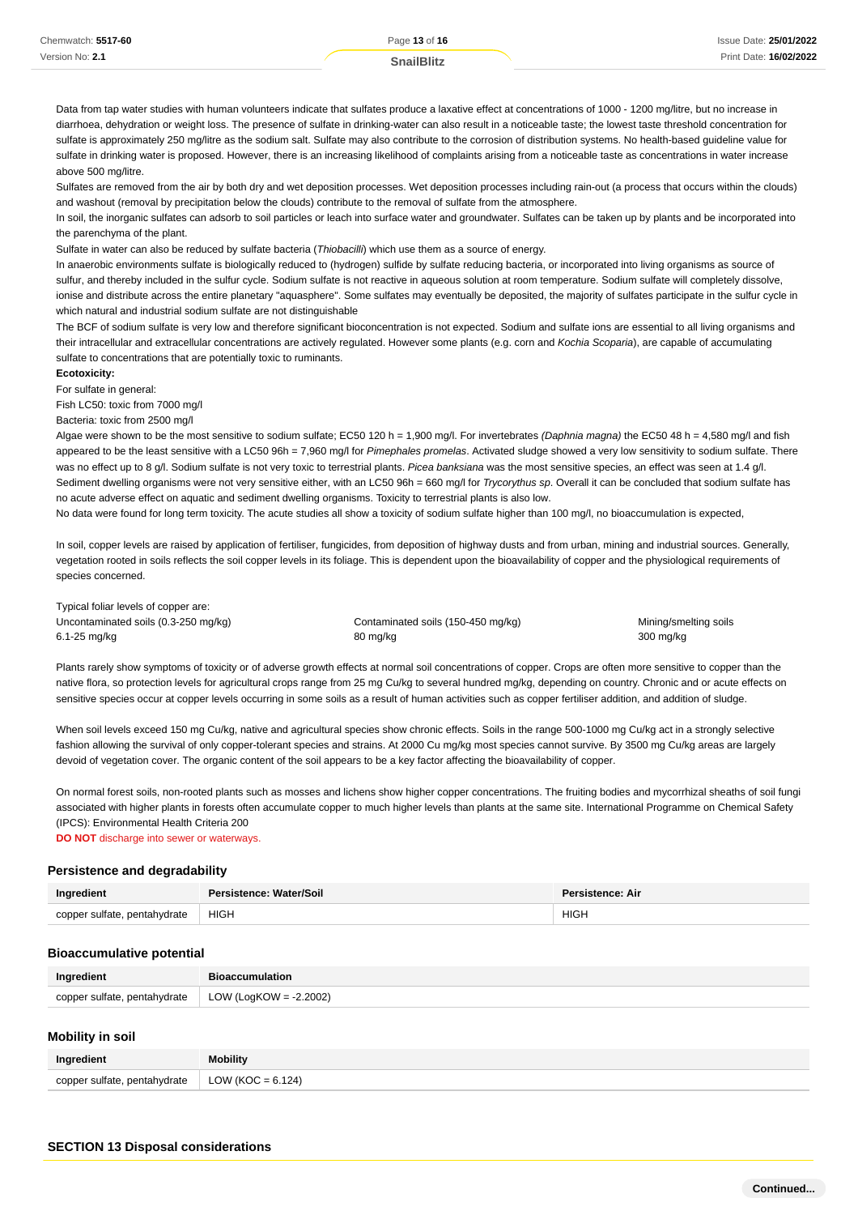Data from tap water studies with human volunteers indicate that sulfates produce a laxative effect at concentrations of 1000 - 1200 mg/litre, but no increase in diarrhoea, dehydration or weight loss. The presence of sulfate in drinking-water can also result in a noticeable taste; the lowest taste threshold concentration for sulfate is approximately 250 mg/litre as the sodium salt. Sulfate may also contribute to the corrosion of distribution systems. No health-based guideline value for sulfate in drinking water is proposed. However, there is an increasing likelihood of complaints arising from a noticeable taste as concentrations in water increase above 500 mg/litre.

Sulfates are removed from the air by both dry and wet deposition processes. Wet deposition processes including rain-out (a process that occurs within the clouds) and washout (removal by precipitation below the clouds) contribute to the removal of sulfate from the atmosphere.

In soil, the inorganic sulfates can adsorb to soil particles or leach into surface water and groundwater. Sulfates can be taken up by plants and be incorporated into the parenchyma of the plant.

Sulfate in water can also be reduced by sulfate bacteria (Thiobacilli) which use them as a source of energy.

In anaerobic environments sulfate is biologically reduced to (hydrogen) sulfide by sulfate reducing bacteria, or incorporated into living organisms as source of sulfur, and thereby included in the sulfur cycle. Sodium sulfate is not reactive in aqueous solution at room temperature. Sodium sulfate will completely dissolve, ionise and distribute across the entire planetary "aquasphere". Some sulfates may eventually be deposited, the majority of sulfates participate in the sulfur cycle in which natural and industrial sodium sulfate are not distinguishable

The BCF of sodium sulfate is very low and therefore significant bioconcentration is not expected. Sodium and sulfate ions are essential to all living organisms and their intracellular and extracellular concentrations are actively regulated. However some plants (e.g. corn and Kochia Scoparia), are capable of accumulating sulfate to concentrations that are potentially toxic to ruminants.

#### **Ecotoxicity:**

For sulfate in general:

Fish LC50: toxic from 7000 mg/l

#### Bacteria: toxic from 2500 mg/l

Algae were shown to be the most sensitive to sodium sulfate; EC50 120 h = 1,900 mg/l. For invertebrates (Daphnia magna) the EC50 48 h = 4,580 mg/l and fish appeared to be the least sensitive with a LC50 96h = 7,960 mg/l for Pimephales promelas. Activated sludge showed a very low sensitivity to sodium sulfate. There was no effect up to 8 g/l. Sodium sulfate is not very toxic to terrestrial plants. Picea banksiana was the most sensitive species, an effect was seen at 1.4 g/l. Sediment dwelling organisms were not very sensitive either, with an LC50 96h = 660 mg/l for Trycorythus sp. Overall it can be concluded that sodium sulfate has no acute adverse effect on aquatic and sediment dwelling organisms. Toxicity to terrestrial plants is also low.

No data were found for long term toxicity. The acute studies all show a toxicity of sodium sulfate higher than 100 mg/l, no bioaccumulation is expected,

In soil, copper levels are raised by application of fertiliser, fungicides, from deposition of highway dusts and from urban, mining and industrial sources. Generally, vegetation rooted in soils reflects the soil copper levels in its foliage. This is dependent upon the bioavailability of copper and the physiological requirements of species concerned.

Typical foliar levels of copper are: Uncontaminated soils (0.3-250 mg/kg) Contaminated soils (150-450 mg/kg) Mining/smelting soils (150-450 mg/kg) 6.1-25 mg/kg 80 mg/kg 300 mg/kg

Plants rarely show symptoms of toxicity or of adverse growth effects at normal soil concentrations of copper. Crops are often more sensitive to copper than the native flora, so protection levels for agricultural crops range from 25 mg Cu/kg to several hundred mg/kg, depending on country. Chronic and or acute effects on sensitive species occur at copper levels occurring in some soils as a result of human activities such as copper fertiliser addition, and addition of sludge.

When soil levels exceed 150 mg Cu/kg, native and agricultural species show chronic effects. Soils in the range 500-1000 mg Cu/kg act in a strongly selective fashion allowing the survival of only copper-tolerant species and strains. At 2000 Cu mg/kg most species cannot survive. By 3500 mg Cu/kg areas are largely devoid of vegetation cover. The organic content of the soil appears to be a key factor affecting the bioavailability of copper.

On normal forest soils, non-rooted plants such as mosses and lichens show higher copper concentrations. The fruiting bodies and mycorrhizal sheaths of soil fungi associated with higher plants in forests often accumulate copper to much higher levels than plants at the same site. International Programme on Chemical Safety (IPCS): Environmental Health Criteria 200

**DO NOT** discharge into sewer or waterways

#### **Persistence and degradability**

| Ingredient                   | Persistence: Water/Soil | Persistence: Air |
|------------------------------|-------------------------|------------------|
| copper sulfate, pentahydrate | <b>HIGH</b>             | HIGH             |

#### **Bioaccumulative potential**

| Ingredient                                                  | <b>Bioaccumulation</b> |
|-------------------------------------------------------------|------------------------|
| copper sulfate, pentahydrate $\vert$ LOW (LogKOW = -2.2002) |                        |

#### **Mobility in soil**

| Ingredient                   | <b>Mobility</b>      |
|------------------------------|----------------------|
| copper sulfate, pentahydrate | LOW (KOC = $6.124$ ) |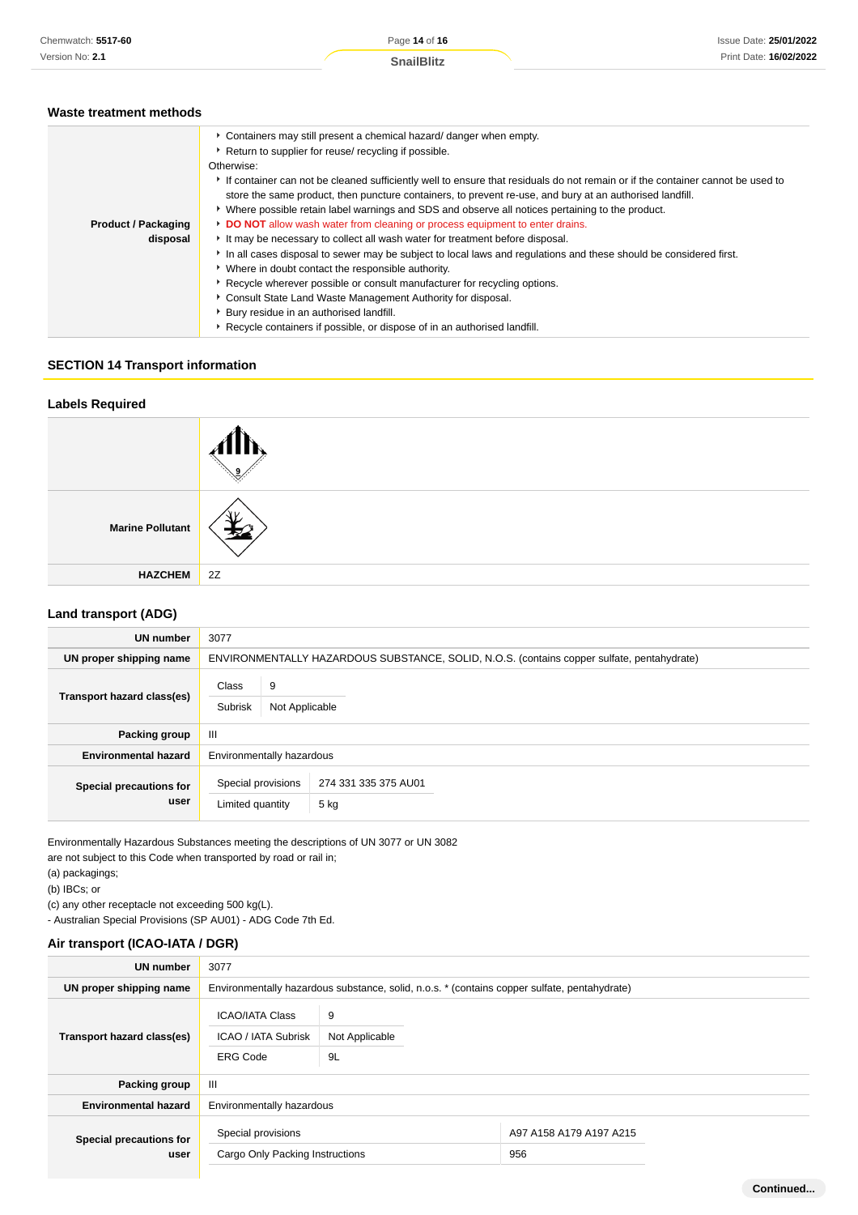**Continued...**

### **Waste treatment methods**

|                            | Containers may still present a chemical hazard/ danger when empty.                                                             |  |  |  |  |
|----------------------------|--------------------------------------------------------------------------------------------------------------------------------|--|--|--|--|
|                            | Return to supplier for reuse/ recycling if possible.                                                                           |  |  |  |  |
|                            | Otherwise:                                                                                                                     |  |  |  |  |
|                            | If container can not be cleaned sufficiently well to ensure that residuals do not remain or if the container cannot be used to |  |  |  |  |
|                            | store the same product, then puncture containers, to prevent re-use, and bury at an authorised landfill.                       |  |  |  |  |
|                            | ▶ Where possible retain label warnings and SDS and observe all notices pertaining to the product.                              |  |  |  |  |
| <b>Product / Packaging</b> | DO NOT allow wash water from cleaning or process equipment to enter drains.                                                    |  |  |  |  |
| disposal                   | It may be necessary to collect all wash water for treatment before disposal.                                                   |  |  |  |  |
|                            | In all cases disposal to sewer may be subject to local laws and regulations and these should be considered first.              |  |  |  |  |
|                            | • Where in doubt contact the responsible authority.                                                                            |  |  |  |  |
|                            | Recycle wherever possible or consult manufacturer for recycling options.                                                       |  |  |  |  |
|                            | Consult State Land Waste Management Authority for disposal.                                                                    |  |  |  |  |
|                            | Bury residue in an authorised landfill.                                                                                        |  |  |  |  |
|                            | Recycle containers if possible, or dispose of in an authorised landfill.                                                       |  |  |  |  |
|                            |                                                                                                                                |  |  |  |  |

### **SECTION 14 Transport information**

| <b>Labels Required</b>  |    |
|-------------------------|----|
|                         |    |
| <b>Marine Pollutant</b> | ⊀  |
| <b>HAZCHEM</b>          | 2Z |

### **Land transport (ADG)**

| <b>UN number</b>                | 3077                                    |                                                                                            |  |  |
|---------------------------------|-----------------------------------------|--------------------------------------------------------------------------------------------|--|--|
| UN proper shipping name         |                                         | ENVIRONMENTALLY HAZARDOUS SUBSTANCE, SOLID, N.O.S. (contains copper sulfate, pentahydrate) |  |  |
| Transport hazard class(es)      | 9<br>Class<br>Subrisk<br>Not Applicable |                                                                                            |  |  |
| Packing group                   | Ш                                       |                                                                                            |  |  |
| <b>Environmental hazard</b>     | Environmentally hazardous               |                                                                                            |  |  |
| Special precautions for<br>user | Special provisions<br>Limited quantity  | 274 331 335 375 AU01<br>5 kg                                                               |  |  |

Environmentally Hazardous Substances meeting the descriptions of UN 3077 or UN 3082 are not subject to this Code when transported by road or rail in;

(a) packagings;

(b) IBCs; or

(c) any other receptacle not exceeding 500 kg(L).

- Australian Special Provisions (SP AU01) - ADG Code 7th Ed.

### **Air transport (ICAO-IATA / DGR)**

| <b>UN number</b>                | 3077                                                                    |                                                                                              |                                |
|---------------------------------|-------------------------------------------------------------------------|----------------------------------------------------------------------------------------------|--------------------------------|
| UN proper shipping name         |                                                                         | Environmentally hazardous substance, solid, n.o.s. * (contains copper sulfate, pentahydrate) |                                |
| Transport hazard class(es)      | <b>ICAO/IATA Class</b><br><b>ICAO / IATA Subrisk</b><br><b>ERG Code</b> | 9<br>Not Applicable<br>9L                                                                    |                                |
| Packing group                   | Ш                                                                       |                                                                                              |                                |
| <b>Environmental hazard</b>     | Environmentally hazardous                                               |                                                                                              |                                |
| Special precautions for<br>user | Special provisions<br>Cargo Only Packing Instructions                   |                                                                                              | A97 A158 A179 A197 A215<br>956 |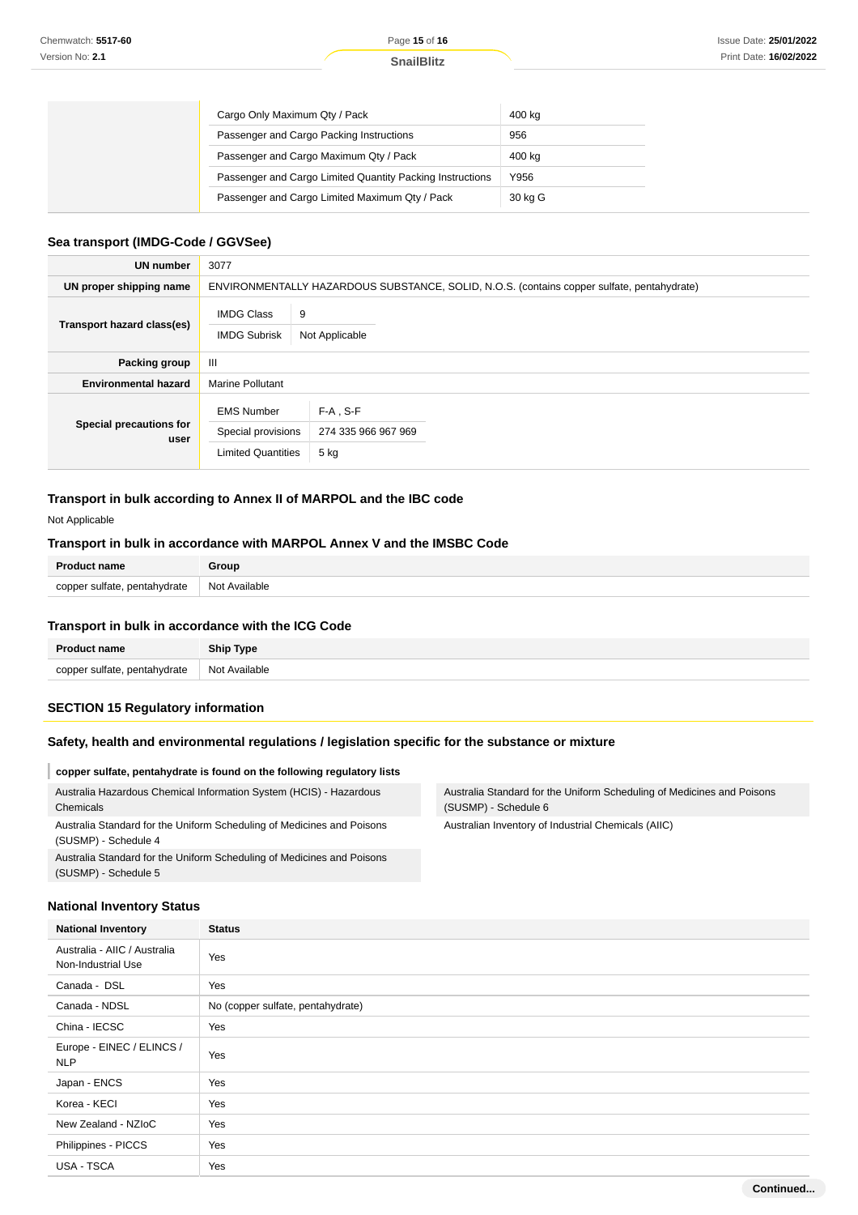| Cargo Only Maximum Qty / Pack                             | 400 kg  |
|-----------------------------------------------------------|---------|
| Passenger and Cargo Packing Instructions                  | 956     |
| Passenger and Cargo Maximum Qty / Pack                    | 400 kg  |
| Passenger and Cargo Limited Quantity Packing Instructions | Y956    |
| Passenger and Cargo Limited Maximum Qty / Pack            | 30 kg G |

#### **Sea transport (IMDG-Code / GGVSee)**

| <b>UN number</b>                | 3077                                                                 |                                                                                            |  |
|---------------------------------|----------------------------------------------------------------------|--------------------------------------------------------------------------------------------|--|
| UN proper shipping name         |                                                                      | ENVIRONMENTALLY HAZARDOUS SUBSTANCE, SOLID, N.O.S. (contains copper sulfate, pentahydrate) |  |
| Transport hazard class(es)      | <b>IMDG Class</b><br>9<br><b>IMDG Subrisk</b>                        | Not Applicable                                                                             |  |
| Packing group                   | $\mathbf{III}$                                                       |                                                                                            |  |
| <b>Environmental hazard</b>     | <b>Marine Pollutant</b>                                              |                                                                                            |  |
| Special precautions for<br>user | <b>EMS Number</b><br>Special provisions<br><b>Limited Quantities</b> | $F-A$ , S-F<br>274 335 966 967 969<br>5 kg                                                 |  |

### **Transport in bulk according to Annex II of MARPOL and the IBC code**

Not Applicable

### **Transport in bulk in accordance with MARPOL Annex V and the IMSBC Code**

| <b>Product name</b>          | Group         |
|------------------------------|---------------|
| copper sulfate, pentahydrate | Not Available |

#### **Transport in bulk in accordance with the ICG Code**

| <b>Product name</b>          | <b>Ship Type</b> |
|------------------------------|------------------|
| copper sulfate, pentahydrate | Not Available    |

## **SECTION 15 Regulatory information**

### **Safety, health and environmental regulations / legislation specific for the substance or mixture**

| copper sulfate, pentahydrate is found on the following regulatory lists                        |                                                                                                |
|------------------------------------------------------------------------------------------------|------------------------------------------------------------------------------------------------|
| Australia Hazardous Chemical Information System (HCIS) - Hazardous<br>Chemicals                | Australia Standard for the Uniform Scheduling of Medicines and Poisons<br>(SUSMP) - Schedule 6 |
| Australia Standard for the Uniform Scheduling of Medicines and Poisons<br>(SUSMP) - Schedule 4 | Australian Inventory of Industrial Chemicals (AIIC)                                            |
| Australia Standard for the Uniform Scheduling of Medicines and Poisons<br>(SUSMP) - Schedule 5 |                                                                                                |

### **National Inventory Status**

| <b>National Inventory</b>                          | <b>Status</b>                     |
|----------------------------------------------------|-----------------------------------|
| Australia - AIIC / Australia<br>Non-Industrial Use | Yes                               |
| Canada - DSL                                       | Yes                               |
| Canada - NDSL                                      | No (copper sulfate, pentahydrate) |
| China - IECSC                                      | Yes                               |
| Europe - EINEC / ELINCS /<br><b>NLP</b>            | Yes                               |
| Japan - ENCS                                       | Yes                               |
| Korea - KECI                                       | Yes                               |
| New Zealand - NZIoC                                | Yes                               |
| Philippines - PICCS                                | Yes                               |
| USA - TSCA                                         | Yes                               |
|                                                    | Continued                         |